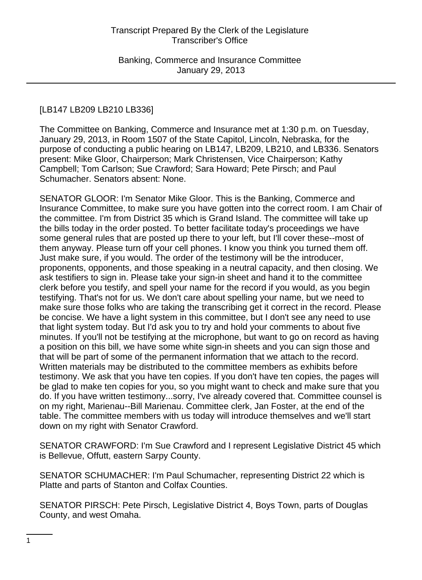### [LB147 LB209 LB210 LB336]

The Committee on Banking, Commerce and Insurance met at 1:30 p.m. on Tuesday, January 29, 2013, in Room 1507 of the State Capitol, Lincoln, Nebraska, for the purpose of conducting a public hearing on LB147, LB209, LB210, and LB336. Senators present: Mike Gloor, Chairperson; Mark Christensen, Vice Chairperson; Kathy Campbell; Tom Carlson; Sue Crawford; Sara Howard; Pete Pirsch; and Paul Schumacher. Senators absent: None.

SENATOR GLOOR: I'm Senator Mike Gloor. This is the Banking, Commerce and Insurance Committee, to make sure you have gotten into the correct room. I am Chair of the committee. I'm from District 35 which is Grand Island. The committee will take up the bills today in the order posted. To better facilitate today's proceedings we have some general rules that are posted up there to your left, but I'll cover these--most of them anyway. Please turn off your cell phones. I know you think you turned them off. Just make sure, if you would. The order of the testimony will be the introducer, proponents, opponents, and those speaking in a neutral capacity, and then closing. We ask testifiers to sign in. Please take your sign-in sheet and hand it to the committee clerk before you testify, and spell your name for the record if you would, as you begin testifying. That's not for us. We don't care about spelling your name, but we need to make sure those folks who are taking the transcribing get it correct in the record. Please be concise. We have a light system in this committee, but I don't see any need to use that light system today. But I'd ask you to try and hold your comments to about five minutes. If you'll not be testifying at the microphone, but want to go on record as having a position on this bill, we have some white sign-in sheets and you can sign those and that will be part of some of the permanent information that we attach to the record. Written materials may be distributed to the committee members as exhibits before testimony. We ask that you have ten copies. If you don't have ten copies, the pages will be glad to make ten copies for you, so you might want to check and make sure that you do. If you have written testimony...sorry, I've already covered that. Committee counsel is on my right, Marienau--Bill Marienau. Committee clerk, Jan Foster, at the end of the table. The committee members with us today will introduce themselves and we'll start down on my right with Senator Crawford.

SENATOR CRAWFORD: I'm Sue Crawford and I represent Legislative District 45 which is Bellevue, Offutt, eastern Sarpy County.

SENATOR SCHUMACHER: I'm Paul Schumacher, representing District 22 which is Platte and parts of Stanton and Colfax Counties.

SENATOR PIRSCH: Pete Pirsch, Legislative District 4, Boys Town, parts of Douglas County, and west Omaha.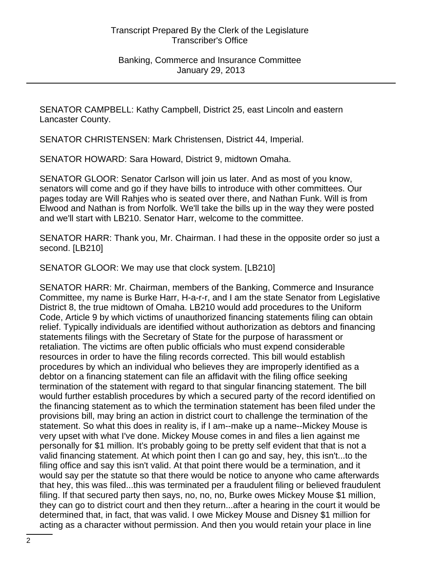SENATOR CAMPBELL: Kathy Campbell, District 25, east Lincoln and eastern Lancaster County.

SENATOR CHRISTENSEN: Mark Christensen, District 44, Imperial.

SENATOR HOWARD: Sara Howard, District 9, midtown Omaha.

SENATOR GLOOR: Senator Carlson will join us later. And as most of you know, senators will come and go if they have bills to introduce with other committees. Our pages today are Will Rahjes who is seated over there, and Nathan Funk. Will is from Elwood and Nathan is from Norfolk. We'll take the bills up in the way they were posted and we'll start with LB210. Senator Harr, welcome to the committee.

SENATOR HARR: Thank you, Mr. Chairman. I had these in the opposite order so just a second. [LB210]

SENATOR GLOOR: We may use that clock system. [LB210]

SENATOR HARR: Mr. Chairman, members of the Banking, Commerce and Insurance Committee, my name is Burke Harr, H-a-r-r, and I am the state Senator from Legislative District 8, the true midtown of Omaha. LB210 would add procedures to the Uniform Code, Article 9 by which victims of unauthorized financing statements filing can obtain relief. Typically individuals are identified without authorization as debtors and financing statements filings with the Secretary of State for the purpose of harassment or retaliation. The victims are often public officials who must expend considerable resources in order to have the filing records corrected. This bill would establish procedures by which an individual who believes they are improperly identified as a debtor on a financing statement can file an affidavit with the filing office seeking termination of the statement with regard to that singular financing statement. The bill would further establish procedures by which a secured party of the record identified on the financing statement as to which the termination statement has been filed under the provisions bill, may bring an action in district court to challenge the termination of the statement. So what this does in reality is, if I am--make up a name--Mickey Mouse is very upset with what I've done. Mickey Mouse comes in and files a lien against me personally for \$1 million. It's probably going to be pretty self evident that that is not a valid financing statement. At which point then I can go and say, hey, this isn't...to the filing office and say this isn't valid. At that point there would be a termination, and it would say per the statute so that there would be notice to anyone who came afterwards that hey, this was filed...this was terminated per a fraudulent filing or believed fraudulent filing. If that secured party then says, no, no, no, Burke owes Mickey Mouse \$1 million, they can go to district court and then they return...after a hearing in the court it would be determined that, in fact, that was valid. I owe Mickey Mouse and Disney \$1 million for acting as a character without permission. And then you would retain your place in line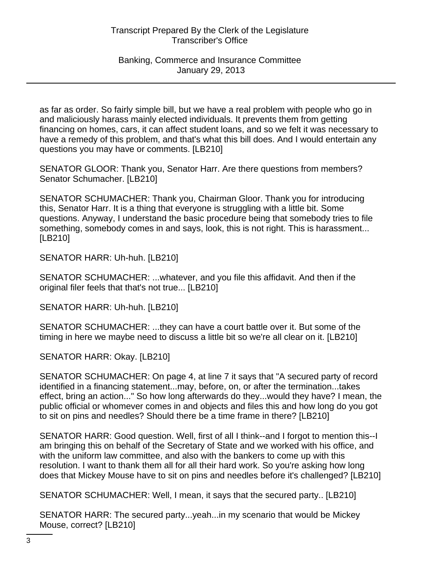as far as order. So fairly simple bill, but we have a real problem with people who go in and maliciously harass mainly elected individuals. It prevents them from getting financing on homes, cars, it can affect student loans, and so we felt it was necessary to have a remedy of this problem, and that's what this bill does. And I would entertain any questions you may have or comments. [LB210]

SENATOR GLOOR: Thank you, Senator Harr. Are there questions from members? Senator Schumacher. [LB210]

SENATOR SCHUMACHER: Thank you, Chairman Gloor. Thank you for introducing this, Senator Harr. It is a thing that everyone is struggling with a little bit. Some questions. Anyway, I understand the basic procedure being that somebody tries to file something, somebody comes in and says, look, this is not right. This is harassment... [LB210]

SENATOR HARR: Uh-huh. [LB210]

SENATOR SCHUMACHER: ...whatever, and you file this affidavit. And then if the original filer feels that that's not true... [LB210]

SENATOR HARR: Uh-huh. [LB210]

SENATOR SCHUMACHER: ...they can have a court battle over it. But some of the timing in here we maybe need to discuss a little bit so we're all clear on it. [LB210]

SENATOR HARR: Okay. [LB210]

SENATOR SCHUMACHER: On page 4, at line 7 it says that "A secured party of record identified in a financing statement...may, before, on, or after the termination...takes effect, bring an action..." So how long afterwards do they...would they have? I mean, the public official or whomever comes in and objects and files this and how long do you got to sit on pins and needles? Should there be a time frame in there? [LB210]

SENATOR HARR: Good question. Well, first of all I think--and I forgot to mention this--I am bringing this on behalf of the Secretary of State and we worked with his office, and with the uniform law committee, and also with the bankers to come up with this resolution. I want to thank them all for all their hard work. So you're asking how long does that Mickey Mouse have to sit on pins and needles before it's challenged? [LB210]

SENATOR SCHUMACHER: Well, I mean, it says that the secured party.. [LB210]

SENATOR HARR: The secured party...yeah...in my scenario that would be Mickey Mouse, correct? [LB210]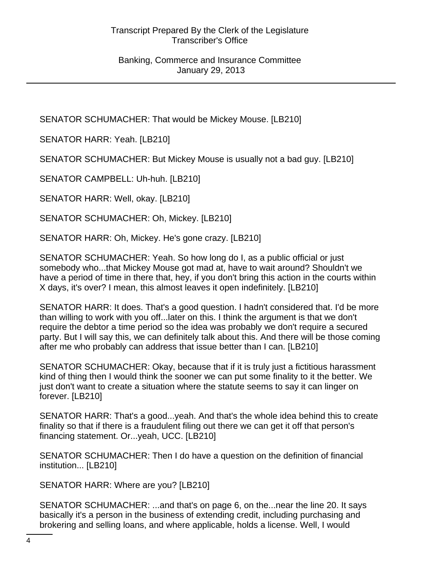SENATOR SCHUMACHER: That would be Mickey Mouse. [LB210]

SENATOR HARR: Yeah. [LB210]

SENATOR SCHUMACHER: But Mickey Mouse is usually not a bad guy. [LB210]

SENATOR CAMPBELL: Uh-huh. [LB210]

SENATOR HARR: Well, okay. [LB210]

SENATOR SCHUMACHER: Oh, Mickey. [LB210]

SENATOR HARR: Oh, Mickey. He's gone crazy. [LB210]

SENATOR SCHUMACHER: Yeah. So how long do I, as a public official or just somebody who...that Mickey Mouse got mad at, have to wait around? Shouldn't we have a period of time in there that, hey, if you don't bring this action in the courts within X days, it's over? I mean, this almost leaves it open indefinitely. [LB210]

SENATOR HARR: It does. That's a good question. I hadn't considered that. I'd be more than willing to work with you off...later on this. I think the argument is that we don't require the debtor a time period so the idea was probably we don't require a secured party. But I will say this, we can definitely talk about this. And there will be those coming after me who probably can address that issue better than I can. [LB210]

SENATOR SCHUMACHER: Okay, because that if it is truly just a fictitious harassment kind of thing then I would think the sooner we can put some finality to it the better. We just don't want to create a situation where the statute seems to say it can linger on forever. [LB210]

SENATOR HARR: That's a good...yeah. And that's the whole idea behind this to create finality so that if there is a fraudulent filing out there we can get it off that person's financing statement. Or...yeah, UCC. [LB210]

SENATOR SCHUMACHER: Then I do have a question on the definition of financial institution... [LB210]

SENATOR HARR: Where are you? [LB210]

SENATOR SCHUMACHER: ...and that's on page 6, on the...near the line 20. It says basically it's a person in the business of extending credit, including purchasing and brokering and selling loans, and where applicable, holds a license. Well, I would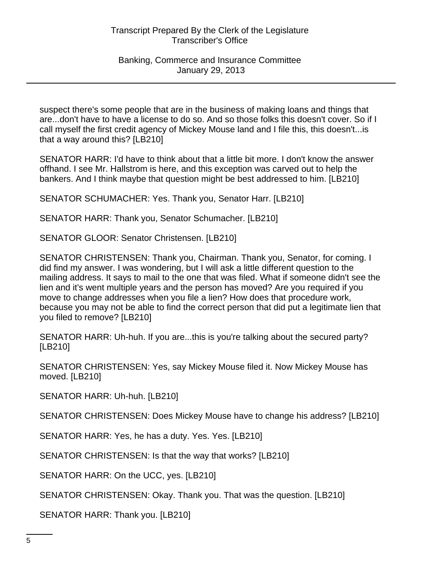suspect there's some people that are in the business of making loans and things that are...don't have to have a license to do so. And so those folks this doesn't cover. So if I call myself the first credit agency of Mickey Mouse land and I file this, this doesn't...is that a way around this? [LB210]

SENATOR HARR: I'd have to think about that a little bit more. I don't know the answer offhand. I see Mr. Hallstrom is here, and this exception was carved out to help the bankers. And I think maybe that question might be best addressed to him. [LB210]

SENATOR SCHUMACHER: Yes. Thank you, Senator Harr. [LB210]

SENATOR HARR: Thank you, Senator Schumacher. [LB210]

SENATOR GLOOR: Senator Christensen. [LB210]

SENATOR CHRISTENSEN: Thank you, Chairman. Thank you, Senator, for coming. I did find my answer. I was wondering, but I will ask a little different question to the mailing address. It says to mail to the one that was filed. What if someone didn't see the lien and it's went multiple years and the person has moved? Are you required if you move to change addresses when you file a lien? How does that procedure work, because you may not be able to find the correct person that did put a legitimate lien that you filed to remove? [LB210]

SENATOR HARR: Uh-huh. If you are...this is you're talking about the secured party? [LB210]

SENATOR CHRISTENSEN: Yes, say Mickey Mouse filed it. Now Mickey Mouse has moved. [LB210]

SENATOR HARR: Uh-huh. [LB210]

SENATOR CHRISTENSEN: Does Mickey Mouse have to change his address? [LB210]

SENATOR HARR: Yes, he has a duty. Yes. Yes. [LB210]

SENATOR CHRISTENSEN: Is that the way that works? [LB210]

SENATOR HARR: On the UCC, yes. [LB210]

SENATOR CHRISTENSEN: Okay. Thank you. That was the question. [LB210]

SENATOR HARR: Thank you. [LB210]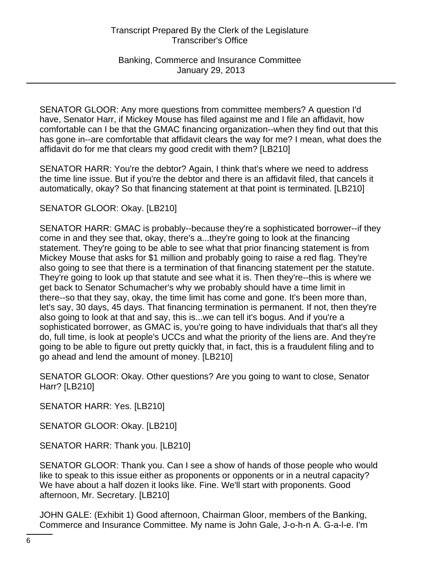SENATOR GLOOR: Any more questions from committee members? A question I'd have, Senator Harr, if Mickey Mouse has filed against me and I file an affidavit, how comfortable can I be that the GMAC financing organization--when they find out that this has gone in--are comfortable that affidavit clears the way for me? I mean, what does the affidavit do for me that clears my good credit with them? [LB210]

SENATOR HARR: You're the debtor? Again, I think that's where we need to address the time line issue. But if you're the debtor and there is an affidavit filed, that cancels it automatically, okay? So that financing statement at that point is terminated. [LB210]

SENATOR GLOOR: Okay. [LB210]

SENATOR HARR: GMAC is probably--because they're a sophisticated borrower--if they come in and they see that, okay, there's a...they're going to look at the financing statement. They're going to be able to see what that prior financing statement is from Mickey Mouse that asks for \$1 million and probably going to raise a red flag. They're also going to see that there is a termination of that financing statement per the statute. They're going to look up that statute and see what it is. Then they're--this is where we get back to Senator Schumacher's why we probably should have a time limit in there--so that they say, okay, the time limit has come and gone. It's been more than, let's say, 30 days, 45 days. That financing termination is permanent. If not, then they're also going to look at that and say, this is...we can tell it's bogus. And if you're a sophisticated borrower, as GMAC is, you're going to have individuals that that's all they do, full time, is look at people's UCCs and what the priority of the liens are. And they're going to be able to figure out pretty quickly that, in fact, this is a fraudulent filing and to go ahead and lend the amount of money. [LB210]

SENATOR GLOOR: Okay. Other questions? Are you going to want to close, Senator Harr? [LB210]

SENATOR HARR: Yes. [LB210]

SENATOR GLOOR: Okay. [LB210]

SENATOR HARR: Thank you. [LB210]

SENATOR GLOOR: Thank you. Can I see a show of hands of those people who would like to speak to this issue either as proponents or opponents or in a neutral capacity? We have about a half dozen it looks like. Fine. We'll start with proponents. Good afternoon, Mr. Secretary. [LB210]

JOHN GALE: (Exhibit 1) Good afternoon, Chairman Gloor, members of the Banking, Commerce and Insurance Committee. My name is John Gale, J-o-h-n A. G-a-l-e. I'm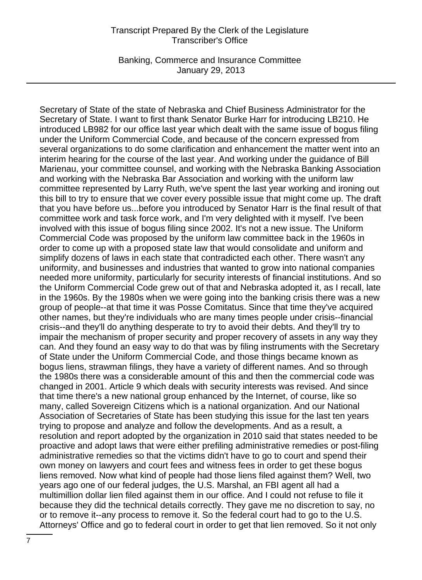Banking, Commerce and Insurance Committee January 29, 2013

Secretary of State of the state of Nebraska and Chief Business Administrator for the Secretary of State. I want to first thank Senator Burke Harr for introducing LB210. He introduced LB982 for our office last year which dealt with the same issue of bogus filing under the Uniform Commercial Code, and because of the concern expressed from several organizations to do some clarification and enhancement the matter went into an interim hearing for the course of the last year. And working under the guidance of Bill Marienau, your committee counsel, and working with the Nebraska Banking Association and working with the Nebraska Bar Association and working with the uniform law committee represented by Larry Ruth, we've spent the last year working and ironing out this bill to try to ensure that we cover every possible issue that might come up. The draft that you have before us...before you introduced by Senator Harr is the final result of that committee work and task force work, and I'm very delighted with it myself. I've been involved with this issue of bogus filing since 2002. It's not a new issue. The Uniform Commercial Code was proposed by the uniform law committee back in the 1960s in order to come up with a proposed state law that would consolidate and uniform and simplify dozens of laws in each state that contradicted each other. There wasn't any uniformity, and businesses and industries that wanted to grow into national companies needed more uniformity, particularly for security interests of financial institutions. And so the Uniform Commercial Code grew out of that and Nebraska adopted it, as I recall, late in the 1960s. By the 1980s when we were going into the banking crisis there was a new group of people--at that time it was Posse Comitatus. Since that time they've acquired other names, but they're individuals who are many times people under crisis--financial crisis--and they'll do anything desperate to try to avoid their debts. And they'll try to impair the mechanism of proper security and proper recovery of assets in any way they can. And they found an easy way to do that was by filing instruments with the Secretary of State under the Uniform Commercial Code, and those things became known as bogus liens, strawman filings, they have a variety of different names. And so through the 1980s there was a considerable amount of this and then the commercial code was changed in 2001. Article 9 which deals with security interests was revised. And since that time there's a new national group enhanced by the Internet, of course, like so many, called Sovereign Citizens which is a national organization. And our National Association of Secretaries of State has been studying this issue for the last ten years trying to propose and analyze and follow the developments. And as a result, a resolution and report adopted by the organization in 2010 said that states needed to be proactive and adopt laws that were either prefiling administrative remedies or post-filing administrative remedies so that the victims didn't have to go to court and spend their own money on lawyers and court fees and witness fees in order to get these bogus liens removed. Now what kind of people had those liens filed against them? Well, two years ago one of our federal judges, the U.S. Marshal, an FBI agent all had a multimillion dollar lien filed against them in our office. And I could not refuse to file it because they did the technical details correctly. They gave me no discretion to say, no or to remove it--any process to remove it. So the federal court had to go to the U.S. Attorneys' Office and go to federal court in order to get that lien removed. So it not only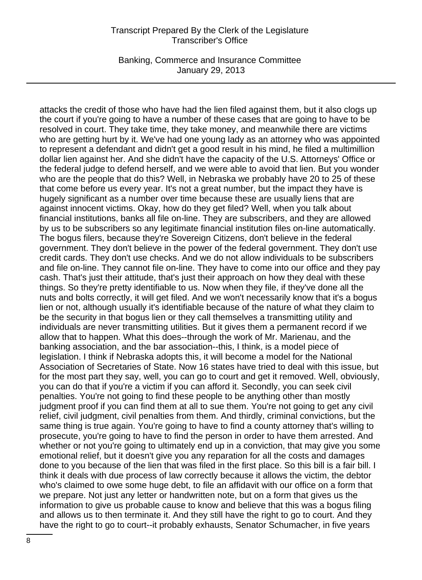Banking, Commerce and Insurance Committee January 29, 2013

attacks the credit of those who have had the lien filed against them, but it also clogs up the court if you're going to have a number of these cases that are going to have to be resolved in court. They take time, they take money, and meanwhile there are victims who are getting hurt by it. We've had one young lady as an attorney who was appointed to represent a defendant and didn't get a good result in his mind, he filed a multimillion dollar lien against her. And she didn't have the capacity of the U.S. Attorneys' Office or the federal judge to defend herself, and we were able to avoid that lien. But you wonder who are the people that do this? Well, in Nebraska we probably have 20 to 25 of these that come before us every year. It's not a great number, but the impact they have is hugely significant as a number over time because these are usually liens that are against innocent victims. Okay, how do they get filed? Well, when you talk about financial institutions, banks all file on-line. They are subscribers, and they are allowed by us to be subscribers so any legitimate financial institution files on-line automatically. The bogus filers, because they're Sovereign Citizens, don't believe in the federal government. They don't believe in the power of the federal government. They don't use credit cards. They don't use checks. And we do not allow individuals to be subscribers and file on-line. They cannot file on-line. They have to come into our office and they pay cash. That's just their attitude, that's just their approach on how they deal with these things. So they're pretty identifiable to us. Now when they file, if they've done all the nuts and bolts correctly, it will get filed. And we won't necessarily know that it's a bogus lien or not, although usually it's identifiable because of the nature of what they claim to be the security in that bogus lien or they call themselves a transmitting utility and individuals are never transmitting utilities. But it gives them a permanent record if we allow that to happen. What this does--through the work of Mr. Marienau, and the banking association, and the bar association--this, I think, is a model piece of legislation. I think if Nebraska adopts this, it will become a model for the National Association of Secretaries of State. Now 16 states have tried to deal with this issue, but for the most part they say, well, you can go to court and get it removed. Well, obviously, you can do that if you're a victim if you can afford it. Secondly, you can seek civil penalties. You're not going to find these people to be anything other than mostly judgment proof if you can find them at all to sue them. You're not going to get any civil relief, civil judgment, civil penalties from them. And thirdly, criminal convictions, but the same thing is true again. You're going to have to find a county attorney that's willing to prosecute, you're going to have to find the person in order to have them arrested. And whether or not you're going to ultimately end up in a conviction, that may give you some emotional relief, but it doesn't give you any reparation for all the costs and damages done to you because of the lien that was filed in the first place. So this bill is a fair bill. I think it deals with due process of law correctly because it allows the victim, the debtor who's claimed to owe some huge debt, to file an affidavit with our office on a form that we prepare. Not just any letter or handwritten note, but on a form that gives us the information to give us probable cause to know and believe that this was a bogus filing and allows us to then terminate it. And they still have the right to go to court. And they have the right to go to court--it probably exhausts, Senator Schumacher, in five years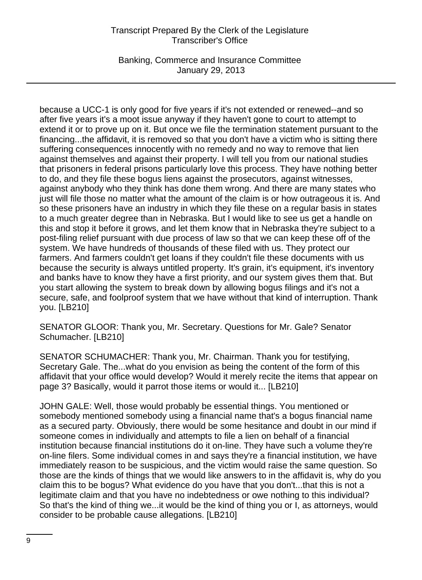Banking, Commerce and Insurance Committee January 29, 2013

because a UCC-1 is only good for five years if it's not extended or renewed--and so after five years it's a moot issue anyway if they haven't gone to court to attempt to extend it or to prove up on it. But once we file the termination statement pursuant to the financing...the affidavit, it is removed so that you don't have a victim who is sitting there suffering consequences innocently with no remedy and no way to remove that lien against themselves and against their property. I will tell you from our national studies that prisoners in federal prisons particularly love this process. They have nothing better to do, and they file these bogus liens against the prosecutors, against witnesses, against anybody who they think has done them wrong. And there are many states who just will file those no matter what the amount of the claim is or how outrageous it is. And so these prisoners have an industry in which they file these on a regular basis in states to a much greater degree than in Nebraska. But I would like to see us get a handle on this and stop it before it grows, and let them know that in Nebraska they're subject to a post-filing relief pursuant with due process of law so that we can keep these off of the system. We have hundreds of thousands of these filed with us. They protect our farmers. And farmers couldn't get loans if they couldn't file these documents with us because the security is always untitled property. It's grain, it's equipment, it's inventory and banks have to know they have a first priority, and our system gives them that. But you start allowing the system to break down by allowing bogus filings and it's not a secure, safe, and foolproof system that we have without that kind of interruption. Thank you. [LB210]

SENATOR GLOOR: Thank you, Mr. Secretary. Questions for Mr. Gale? Senator Schumacher. [LB210]

SENATOR SCHUMACHER: Thank you, Mr. Chairman. Thank you for testifying, Secretary Gale. The...what do you envision as being the content of the form of this affidavit that your office would develop? Would it merely recite the items that appear on page 3? Basically, would it parrot those items or would it... [LB210]

JOHN GALE: Well, those would probably be essential things. You mentioned or somebody mentioned somebody using a financial name that's a bogus financial name as a secured party. Obviously, there would be some hesitance and doubt in our mind if someone comes in individually and attempts to file a lien on behalf of a financial institution because financial institutions do it on-line. They have such a volume they're on-line filers. Some individual comes in and says they're a financial institution, we have immediately reason to be suspicious, and the victim would raise the same question. So those are the kinds of things that we would like answers to in the affidavit is, why do you claim this to be bogus? What evidence do you have that you don't...that this is not a legitimate claim and that you have no indebtedness or owe nothing to this individual? So that's the kind of thing we...it would be the kind of thing you or I, as attorneys, would consider to be probable cause allegations. [LB210]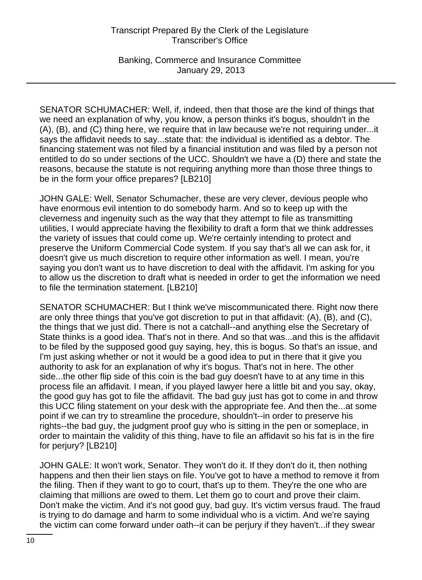Banking, Commerce and Insurance Committee January 29, 2013

SENATOR SCHUMACHER: Well, if, indeed, then that those are the kind of things that we need an explanation of why, you know, a person thinks it's bogus, shouldn't in the (A), (B), and (C) thing here, we require that in law because we're not requiring under...it says the affidavit needs to say...state that: the individual is identified as a debtor. The financing statement was not filed by a financial institution and was filed by a person not entitled to do so under sections of the UCC. Shouldn't we have a (D) there and state the reasons, because the statute is not requiring anything more than those three things to be in the form your office prepares? [LB210]

JOHN GALE: Well, Senator Schumacher, these are very clever, devious people who have enormous evil intention to do somebody harm. And so to keep up with the cleverness and ingenuity such as the way that they attempt to file as transmitting utilities, I would appreciate having the flexibility to draft a form that we think addresses the variety of issues that could come up. We're certainly intending to protect and preserve the Uniform Commercial Code system. If you say that's all we can ask for, it doesn't give us much discretion to require other information as well. I mean, you're saying you don't want us to have discretion to deal with the affidavit. I'm asking for you to allow us the discretion to draft what is needed in order to get the information we need to file the termination statement. [LB210]

SENATOR SCHUMACHER: But I think we've miscommunicated there. Right now there are only three things that you've got discretion to put in that affidavit: (A), (B), and (C), the things that we just did. There is not a catchall--and anything else the Secretary of State thinks is a good idea. That's not in there. And so that was...and this is the affidavit to be filed by the supposed good guy saying, hey, this is bogus. So that's an issue, and I'm just asking whether or not it would be a good idea to put in there that it give you authority to ask for an explanation of why it's bogus. That's not in here. The other side...the other flip side of this coin is the bad guy doesn't have to at any time in this process file an affidavit. I mean, if you played lawyer here a little bit and you say, okay, the good guy has got to file the affidavit. The bad guy just has got to come in and throw this UCC filing statement on your desk with the appropriate fee. And then the...at some point if we can try to streamline the procedure, shouldn't--in order to preserve his rights--the bad guy, the judgment proof guy who is sitting in the pen or someplace, in order to maintain the validity of this thing, have to file an affidavit so his fat is in the fire for perjury? [LB210]

JOHN GALE: It won't work, Senator. They won't do it. If they don't do it, then nothing happens and then their lien stays on file. You've got to have a method to remove it from the filing. Then if they want to go to court, that's up to them. They're the one who are claiming that millions are owed to them. Let them go to court and prove their claim. Don't make the victim. And it's not good guy, bad guy. It's victim versus fraud. The fraud is trying to do damage and harm to some individual who is a victim. And we're saying the victim can come forward under oath--it can be perjury if they haven't...if they swear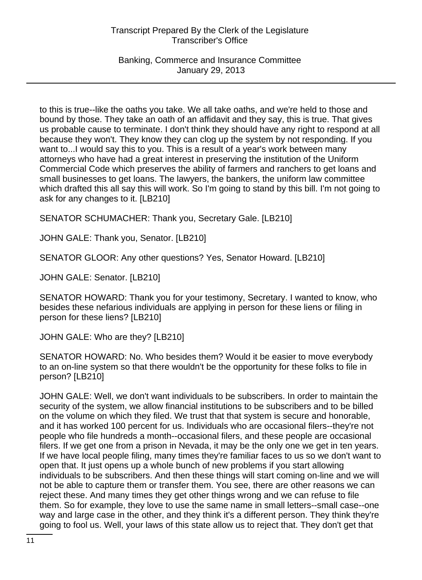Banking, Commerce and Insurance Committee January 29, 2013

to this is true--like the oaths you take. We all take oaths, and we're held to those and bound by those. They take an oath of an affidavit and they say, this is true. That gives us probable cause to terminate. I don't think they should have any right to respond at all because they won't. They know they can clog up the system by not responding. If you want to...I would say this to you. This is a result of a year's work between many attorneys who have had a great interest in preserving the institution of the Uniform Commercial Code which preserves the ability of farmers and ranchers to get loans and small businesses to get loans. The lawyers, the bankers, the uniform law committee which drafted this all say this will work. So I'm going to stand by this bill. I'm not going to ask for any changes to it. [LB210]

SENATOR SCHUMACHER: Thank you, Secretary Gale. [LB210]

JOHN GALE: Thank you, Senator. [LB210]

SENATOR GLOOR: Any other questions? Yes, Senator Howard. [LB210]

JOHN GALE: Senator. [LB210]

SENATOR HOWARD: Thank you for your testimony, Secretary. I wanted to know, who besides these nefarious individuals are applying in person for these liens or filing in person for these liens? [LB210]

JOHN GALE: Who are they? [LB210]

SENATOR HOWARD: No. Who besides them? Would it be easier to move everybody to an on-line system so that there wouldn't be the opportunity for these folks to file in person? [LB210]

JOHN GALE: Well, we don't want individuals to be subscribers. In order to maintain the security of the system, we allow financial institutions to be subscribers and to be billed on the volume on which they filed. We trust that that system is secure and honorable, and it has worked 100 percent for us. Individuals who are occasional filers--they're not people who file hundreds a month--occasional filers, and these people are occasional filers. If we get one from a prison in Nevada, it may be the only one we get in ten years. If we have local people filing, many times they're familiar faces to us so we don't want to open that. It just opens up a whole bunch of new problems if you start allowing individuals to be subscribers. And then these things will start coming on-line and we will not be able to capture them or transfer them. You see, there are other reasons we can reject these. And many times they get other things wrong and we can refuse to file them. So for example, they love to use the same name in small letters--small case--one way and large case in the other, and they think it's a different person. They think they're going to fool us. Well, your laws of this state allow us to reject that. They don't get that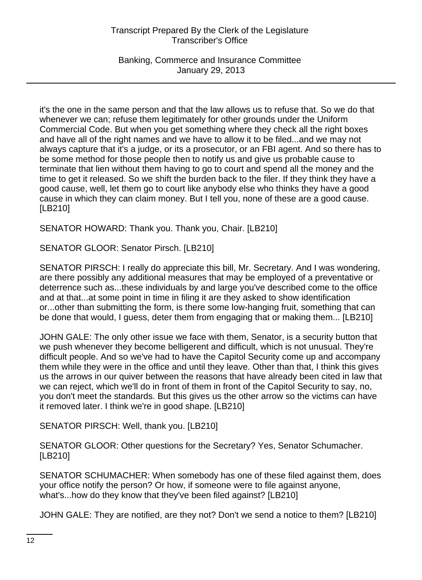Banking, Commerce and Insurance Committee January 29, 2013

it's the one in the same person and that the law allows us to refuse that. So we do that whenever we can; refuse them legitimately for other grounds under the Uniform Commercial Code. But when you get something where they check all the right boxes and have all of the right names and we have to allow it to be filed...and we may not always capture that it's a judge, or its a prosecutor, or an FBI agent. And so there has to be some method for those people then to notify us and give us probable cause to terminate that lien without them having to go to court and spend all the money and the time to get it released. So we shift the burden back to the filer. If they think they have a good cause, well, let them go to court like anybody else who thinks they have a good cause in which they can claim money. But I tell you, none of these are a good cause. [LB210]

SENATOR HOWARD: Thank you. Thank you, Chair. [LB210]

SENATOR GLOOR: Senator Pirsch. [LB210]

SENATOR PIRSCH: I really do appreciate this bill, Mr. Secretary. And I was wondering, are there possibly any additional measures that may be employed of a preventative or deterrence such as...these individuals by and large you've described come to the office and at that...at some point in time in filing it are they asked to show identification or...other than submitting the form, is there some low-hanging fruit, something that can be done that would, I guess, deter them from engaging that or making them... [LB210]

JOHN GALE: The only other issue we face with them, Senator, is a security button that we push whenever they become belligerent and difficult, which is not unusual. They're difficult people. And so we've had to have the Capitol Security come up and accompany them while they were in the office and until they leave. Other than that, I think this gives us the arrows in our quiver between the reasons that have already been cited in law that we can reject, which we'll do in front of them in front of the Capitol Security to say, no, you don't meet the standards. But this gives us the other arrow so the victims can have it removed later. I think we're in good shape. [LB210]

SENATOR PIRSCH: Well, thank you. [LB210]

SENATOR GLOOR: Other questions for the Secretary? Yes, Senator Schumacher. [LB210]

SENATOR SCHUMACHER: When somebody has one of these filed against them, does your office notify the person? Or how, if someone were to file against anyone, what's...how do they know that they've been filed against? [LB210]

JOHN GALE: They are notified, are they not? Don't we send a notice to them? [LB210]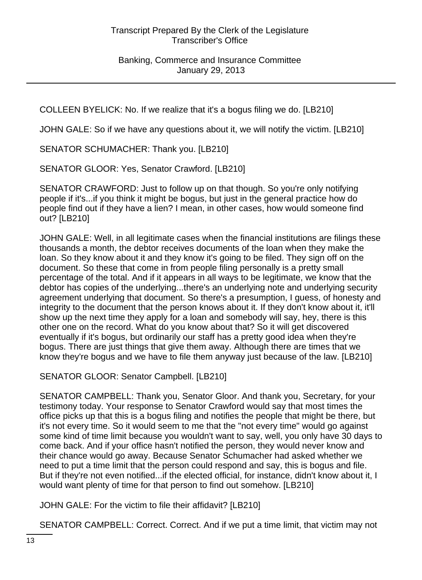COLLEEN BYELICK: No. If we realize that it's a bogus filing we do. [LB210]

JOHN GALE: So if we have any questions about it, we will notify the victim. [LB210]

SENATOR SCHUMACHER: Thank you. [LB210]

SENATOR GLOOR: Yes, Senator Crawford. [LB210]

SENATOR CRAWFORD: Just to follow up on that though. So you're only notifying people if it's...if you think it might be bogus, but just in the general practice how do people find out if they have a lien? I mean, in other cases, how would someone find out? [LB210]

JOHN GALE: Well, in all legitimate cases when the financial institutions are filings these thousands a month, the debtor receives documents of the loan when they make the loan. So they know about it and they know it's going to be filed. They sign off on the document. So these that come in from people filing personally is a pretty small percentage of the total. And if it appears in all ways to be legitimate, we know that the debtor has copies of the underlying...there's an underlying note and underlying security agreement underlying that document. So there's a presumption, I guess, of honesty and integrity to the document that the person knows about it. If they don't know about it, it'll show up the next time they apply for a loan and somebody will say, hey, there is this other one on the record. What do you know about that? So it will get discovered eventually if it's bogus, but ordinarily our staff has a pretty good idea when they're bogus. There are just things that give them away. Although there are times that we know they're bogus and we have to file them anyway just because of the law. [LB210]

SENATOR GLOOR: Senator Campbell. [LB210]

SENATOR CAMPBELL: Thank you, Senator Gloor. And thank you, Secretary, for your testimony today. Your response to Senator Crawford would say that most times the office picks up that this is a bogus filing and notifies the people that might be there, but it's not every time. So it would seem to me that the "not every time" would go against some kind of time limit because you wouldn't want to say, well, you only have 30 days to come back. And if your office hasn't notified the person, they would never know and their chance would go away. Because Senator Schumacher had asked whether we need to put a time limit that the person could respond and say, this is bogus and file. But if they're not even notified...if the elected official, for instance, didn't know about it, I would want plenty of time for that person to find out somehow. [LB210]

JOHN GALE: For the victim to file their affidavit? [LB210]

SENATOR CAMPBELL: Correct. Correct. And if we put a time limit, that victim may not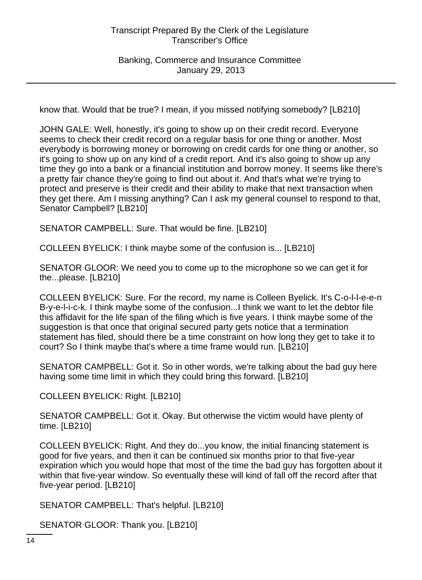Banking, Commerce and Insurance Committee January 29, 2013

know that. Would that be true? I mean, if you missed notifying somebody? [LB210]

JOHN GALE: Well, honestly, it's going to show up on their credit record. Everyone seems to check their credit record on a regular basis for one thing or another. Most everybody is borrowing money or borrowing on credit cards for one thing or another, so it's going to show up on any kind of a credit report. And it's also going to show up any time they go into a bank or a financial institution and borrow money. It seems like there's a pretty fair chance they're going to find out about it. And that's what we're trying to protect and preserve is their credit and their ability to make that next transaction when they get there. Am I missing anything? Can I ask my general counsel to respond to that, Senator Campbell? [LB210]

SENATOR CAMPBELL: Sure. That would be fine. [LB210]

COLLEEN BYELICK: I think maybe some of the confusion is... [LB210]

SENATOR GLOOR: We need you to come up to the microphone so we can get it for the...please. [LB210]

COLLEEN BYELICK: Sure. For the record, my name is Colleen Byelick. It's C-o-l-l-e-e-n B-y-e-l-i-c-k. I think maybe some of the confusion...I think we want to let the debtor file this affidavit for the life span of the filing which is five years. I think maybe some of the suggestion is that once that original secured party gets notice that a termination statement has filed, should there be a time constraint on how long they get to take it to court? So I think maybe that's where a time frame would run. [LB210]

SENATOR CAMPBELL: Got it. So in other words, we're talking about the bad guy here having some time limit in which they could bring this forward. [LB210]

COLLEEN BYELICK: Right. [LB210]

SENATOR CAMPBELL: Got it. Okay. But otherwise the victim would have plenty of time. [LB210]

COLLEEN BYELICK: Right. And they do...you know, the initial financing statement is good for five years, and then it can be continued six months prior to that five-year expiration which you would hope that most of the time the bad guy has forgotten about it within that five-year window. So eventually these will kind of fall off the record after that five-year period. [LB210]

SENATOR CAMPBELL: That's helpful. [LB210]

SENATOR GLOOR: Thank you. [LB210]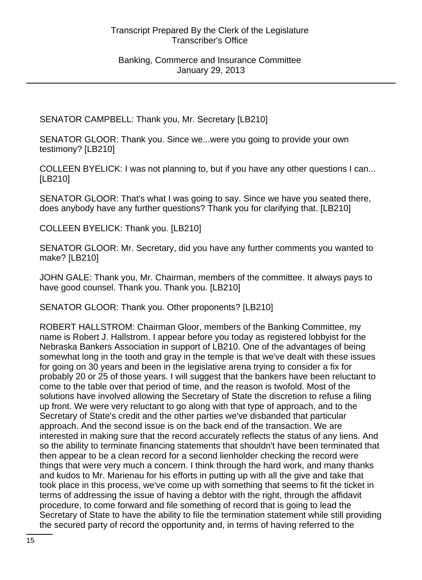SENATOR CAMPBELL: Thank you, Mr. Secretary [LB210]

SENATOR GLOOR: Thank you. Since we...were you going to provide your own testimony? [LB210]

COLLEEN BYELICK: I was not planning to, but if you have any other questions I can... [LB210]

SENATOR GLOOR: That's what I was going to say. Since we have you seated there, does anybody have any further questions? Thank you for clarifying that. [LB210]

COLLEEN BYELICK: Thank you. [LB210]

SENATOR GLOOR: Mr. Secretary, did you have any further comments you wanted to make? [LB210]

JOHN GALE: Thank you, Mr. Chairman, members of the committee. It always pays to have good counsel. Thank you. Thank you. [LB210]

SENATOR GLOOR: Thank you. Other proponents? [LB210]

ROBERT HALLSTROM: Chairman Gloor, members of the Banking Committee, my name is Robert J. Hallstrom. I appear before you today as registered lobbyist for the Nebraska Bankers Association in support of LB210. One of the advantages of being somewhat long in the tooth and gray in the temple is that we've dealt with these issues for going on 30 years and been in the legislative arena trying to consider a fix for probably 20 or 25 of those years. I will suggest that the bankers have been reluctant to come to the table over that period of time, and the reason is twofold. Most of the solutions have involved allowing the Secretary of State the discretion to refuse a filing up front. We were very reluctant to go along with that type of approach, and to the Secretary of State's credit and the other parties we've disbanded that particular approach. And the second issue is on the back end of the transaction. We are interested in making sure that the record accurately reflects the status of any liens. And so the ability to terminate financing statements that shouldn't have been terminated that then appear to be a clean record for a second lienholder checking the record were things that were very much a concern. I think through the hard work, and many thanks and kudos to Mr. Marienau for his efforts in putting up with all the give and take that took place in this process, we've come up with something that seems to fit the ticket in terms of addressing the issue of having a debtor with the right, through the affidavit procedure, to come forward and file something of record that is going to lead the Secretary of State to have the ability to file the termination statement while still providing the secured party of record the opportunity and, in terms of having referred to the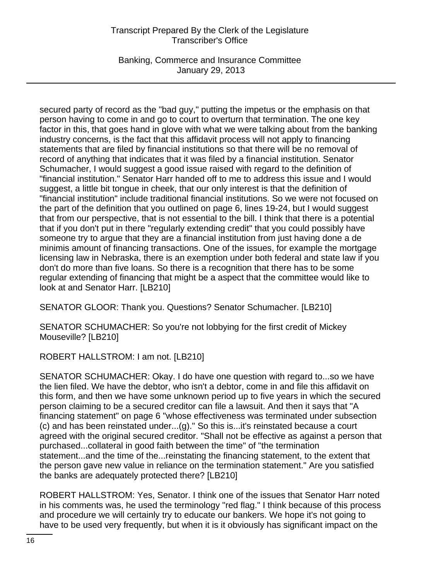Banking, Commerce and Insurance Committee January 29, 2013

secured party of record as the "bad guy," putting the impetus or the emphasis on that person having to come in and go to court to overturn that termination. The one key factor in this, that goes hand in glove with what we were talking about from the banking industry concerns, is the fact that this affidavit process will not apply to financing statements that are filed by financial institutions so that there will be no removal of record of anything that indicates that it was filed by a financial institution. Senator Schumacher, I would suggest a good issue raised with regard to the definition of "financial institution." Senator Harr handed off to me to address this issue and I would suggest, a little bit tongue in cheek, that our only interest is that the definition of "financial institution" include traditional financial institutions. So we were not focused on the part of the definition that you outlined on page 6, lines 19-24, but I would suggest that from our perspective, that is not essential to the bill. I think that there is a potential that if you don't put in there "regularly extending credit" that you could possibly have someone try to argue that they are a financial institution from just having done a de minimis amount of financing transactions. One of the issues, for example the mortgage licensing law in Nebraska, there is an exemption under both federal and state law if you don't do more than five loans. So there is a recognition that there has to be some regular extending of financing that might be a aspect that the committee would like to look at and Senator Harr. [LB210]

SENATOR GLOOR: Thank you. Questions? Senator Schumacher. [LB210]

SENATOR SCHUMACHER: So you're not lobbying for the first credit of Mickey Mouseville? [LB210]

ROBERT HALLSTROM: I am not. [LB210]

SENATOR SCHUMACHER: Okay. I do have one question with regard to...so we have the lien filed. We have the debtor, who isn't a debtor, come in and file this affidavit on this form, and then we have some unknown period up to five years in which the secured person claiming to be a secured creditor can file a lawsuit. And then it says that "A financing statement" on page 6 "whose effectiveness was terminated under subsection (c) and has been reinstated under...(g)." So this is...it's reinstated because a court agreed with the original secured creditor. "Shall not be effective as against a person that purchased...collateral in good faith between the time" of "the termination statement...and the time of the...reinstating the financing statement, to the extent that the person gave new value in reliance on the termination statement." Are you satisfied the banks are adequately protected there? [LB210]

ROBERT HALLSTROM: Yes, Senator. I think one of the issues that Senator Harr noted in his comments was, he used the terminology "red flag." I think because of this process and procedure we will certainly try to educate our bankers. We hope it's not going to have to be used very frequently, but when it is it obviously has significant impact on the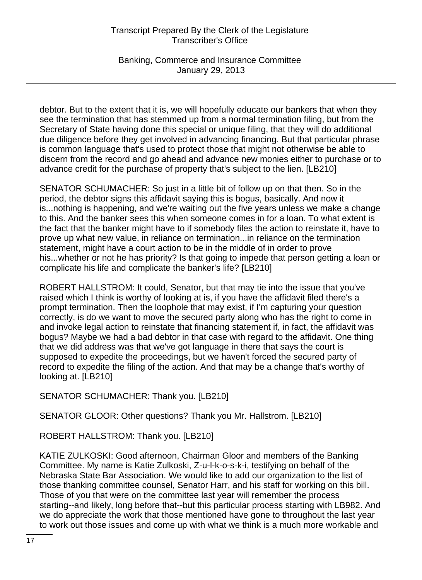Banking, Commerce and Insurance Committee January 29, 2013

debtor. But to the extent that it is, we will hopefully educate our bankers that when they see the termination that has stemmed up from a normal termination filing, but from the Secretary of State having done this special or unique filing, that they will do additional due diligence before they get involved in advancing financing. But that particular phrase is common language that's used to protect those that might not otherwise be able to discern from the record and go ahead and advance new monies either to purchase or to advance credit for the purchase of property that's subject to the lien. [LB210]

SENATOR SCHUMACHER: So just in a little bit of follow up on that then. So in the period, the debtor signs this affidavit saying this is bogus, basically. And now it is...nothing is happening, and we're waiting out the five years unless we make a change to this. And the banker sees this when someone comes in for a loan. To what extent is the fact that the banker might have to if somebody files the action to reinstate it, have to prove up what new value, in reliance on termination...in reliance on the termination statement, might have a court action to be in the middle of in order to prove his...whether or not he has priority? Is that going to impede that person getting a loan or complicate his life and complicate the banker's life? [LB210]

ROBERT HALLSTROM: It could, Senator, but that may tie into the issue that you've raised which I think is worthy of looking at is, if you have the affidavit filed there's a prompt termination. Then the loophole that may exist, if I'm capturing your question correctly, is do we want to move the secured party along who has the right to come in and invoke legal action to reinstate that financing statement if, in fact, the affidavit was bogus? Maybe we had a bad debtor in that case with regard to the affidavit. One thing that we did address was that we've got language in there that says the court is supposed to expedite the proceedings, but we haven't forced the secured party of record to expedite the filing of the action. And that may be a change that's worthy of looking at. [LB210]

SENATOR SCHUMACHER: Thank you. [LB210]

SENATOR GLOOR: Other questions? Thank you Mr. Hallstrom. [LB210]

ROBERT HALLSTROM: Thank you. [LB210]

KATIE ZULKOSKI: Good afternoon, Chairman Gloor and members of the Banking Committee. My name is Katie Zulkoski, Z-u-l-k-o-s-k-i, testifying on behalf of the Nebraska State Bar Association. We would like to add our organization to the list of those thanking committee counsel, Senator Harr, and his staff for working on this bill. Those of you that were on the committee last year will remember the process starting--and likely, long before that--but this particular process starting with LB982. And we do appreciate the work that those mentioned have gone to throughout the last year to work out those issues and come up with what we think is a much more workable and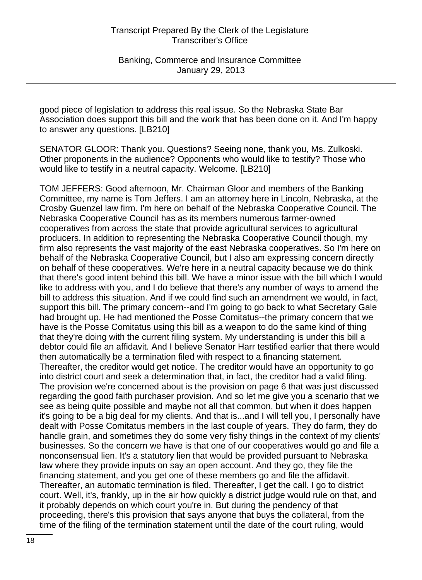good piece of legislation to address this real issue. So the Nebraska State Bar Association does support this bill and the work that has been done on it. And I'm happy to answer any questions. [LB210]

SENATOR GLOOR: Thank you. Questions? Seeing none, thank you, Ms. Zulkoski. Other proponents in the audience? Opponents who would like to testify? Those who would like to testify in a neutral capacity. Welcome. [LB210]

TOM JEFFERS: Good afternoon, Mr. Chairman Gloor and members of the Banking Committee, my name is Tom Jeffers. I am an attorney here in Lincoln, Nebraska, at the Crosby Guenzel law firm. I'm here on behalf of the Nebraska Cooperative Council. The Nebraska Cooperative Council has as its members numerous farmer-owned cooperatives from across the state that provide agricultural services to agricultural producers. In addition to representing the Nebraska Cooperative Council though, my firm also represents the vast majority of the east Nebraska cooperatives. So I'm here on behalf of the Nebraska Cooperative Council, but I also am expressing concern directly on behalf of these cooperatives. We're here in a neutral capacity because we do think that there's good intent behind this bill. We have a minor issue with the bill which I would like to address with you, and I do believe that there's any number of ways to amend the bill to address this situation. And if we could find such an amendment we would, in fact, support this bill. The primary concern--and I'm going to go back to what Secretary Gale had brought up. He had mentioned the Posse Comitatus--the primary concern that we have is the Posse Comitatus using this bill as a weapon to do the same kind of thing that they're doing with the current filing system. My understanding is under this bill a debtor could file an affidavit. And I believe Senator Harr testified earlier that there would then automatically be a termination filed with respect to a financing statement. Thereafter, the creditor would get notice. The creditor would have an opportunity to go into district court and seek a determination that, in fact, the creditor had a valid filing. The provision we're concerned about is the provision on page 6 that was just discussed regarding the good faith purchaser provision. And so let me give you a scenario that we see as being quite possible and maybe not all that common, but when it does happen it's going to be a big deal for my clients. And that is...and I will tell you, I personally have dealt with Posse Comitatus members in the last couple of years. They do farm, they do handle grain, and sometimes they do some very fishy things in the context of my clients' businesses. So the concern we have is that one of our cooperatives would go and file a nonconsensual lien. It's a statutory lien that would be provided pursuant to Nebraska law where they provide inputs on say an open account. And they go, they file the financing statement, and you get one of these members go and file the affidavit. Thereafter, an automatic termination is filed. Thereafter, I get the call. I go to district court. Well, it's, frankly, up in the air how quickly a district judge would rule on that, and it probably depends on which court you're in. But during the pendency of that proceeding, there's this provision that says anyone that buys the collateral, from the time of the filing of the termination statement until the date of the court ruling, would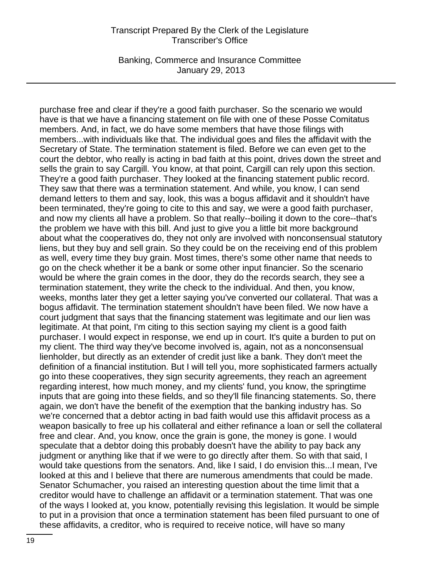Banking, Commerce and Insurance Committee January 29, 2013

purchase free and clear if they're a good faith purchaser. So the scenario we would have is that we have a financing statement on file with one of these Posse Comitatus members. And, in fact, we do have some members that have those filings with members...with individuals like that. The individual goes and files the affidavit with the Secretary of State. The termination statement is filed. Before we can even get to the court the debtor, who really is acting in bad faith at this point, drives down the street and sells the grain to say Cargill. You know, at that point, Cargill can rely upon this section. They're a good faith purchaser. They looked at the financing statement public record. They saw that there was a termination statement. And while, you know, I can send demand letters to them and say, look, this was a bogus affidavit and it shouldn't have been terminated, they're going to cite to this and say, we were a good faith purchaser, and now my clients all have a problem. So that really--boiling it down to the core--that's the problem we have with this bill. And just to give you a little bit more background about what the cooperatives do, they not only are involved with nonconsensual statutory liens, but they buy and sell grain. So they could be on the receiving end of this problem as well, every time they buy grain. Most times, there's some other name that needs to go on the check whether it be a bank or some other input financier. So the scenario would be where the grain comes in the door, they do the records search, they see a termination statement, they write the check to the individual. And then, you know, weeks, months later they get a letter saying you've converted our collateral. That was a bogus affidavit. The termination statement shouldn't have been filed. We now have a court judgment that says that the financing statement was legitimate and our lien was legitimate. At that point, I'm citing to this section saying my client is a good faith purchaser. I would expect in response, we end up in court. It's quite a burden to put on my client. The third way they've become involved is, again, not as a nonconsensual lienholder, but directly as an extender of credit just like a bank. They don't meet the definition of a financial institution. But I will tell you, more sophisticated farmers actually go into these cooperatives, they sign security agreements, they reach an agreement regarding interest, how much money, and my clients' fund, you know, the springtime inputs that are going into these fields, and so they'll file financing statements. So, there again, we don't have the benefit of the exemption that the banking industry has. So we're concerned that a debtor acting in bad faith would use this affidavit process as a weapon basically to free up his collateral and either refinance a loan or sell the collateral free and clear. And, you know, once the grain is gone, the money is gone. I would speculate that a debtor doing this probably doesn't have the ability to pay back any judgment or anything like that if we were to go directly after them. So with that said, I would take questions from the senators. And, like I said, I do envision this...I mean, I've looked at this and I believe that there are numerous amendments that could be made. Senator Schumacher, you raised an interesting question about the time limit that a creditor would have to challenge an affidavit or a termination statement. That was one of the ways I looked at, you know, potentially revising this legislation. It would be simple to put in a provision that once a termination statement has been filed pursuant to one of these affidavits, a creditor, who is required to receive notice, will have so many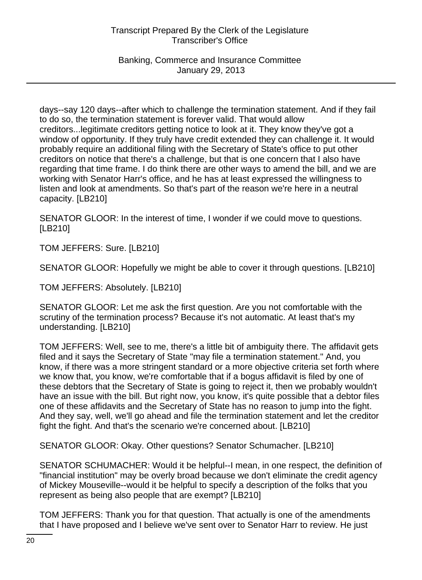Banking, Commerce and Insurance Committee January 29, 2013

days--say 120 days--after which to challenge the termination statement. And if they fail to do so, the termination statement is forever valid. That would allow creditors...legitimate creditors getting notice to look at it. They know they've got a window of opportunity. If they truly have credit extended they can challenge it. It would probably require an additional filing with the Secretary of State's office to put other creditors on notice that there's a challenge, but that is one concern that I also have regarding that time frame. I do think there are other ways to amend the bill, and we are working with Senator Harr's office, and he has at least expressed the willingness to listen and look at amendments. So that's part of the reason we're here in a neutral capacity. [LB210]

SENATOR GLOOR: In the interest of time, I wonder if we could move to questions. [LB210]

TOM JEFFERS: Sure. [LB210]

SENATOR GLOOR: Hopefully we might be able to cover it through questions. [LB210]

TOM JEFFERS: Absolutely. [LB210]

SENATOR GLOOR: Let me ask the first question. Are you not comfortable with the scrutiny of the termination process? Because it's not automatic. At least that's my understanding. [LB210]

TOM JEFFERS: Well, see to me, there's a little bit of ambiguity there. The affidavit gets filed and it says the Secretary of State "may file a termination statement." And, you know, if there was a more stringent standard or a more objective criteria set forth where we know that, you know, we're comfortable that if a bogus affidavit is filed by one of these debtors that the Secretary of State is going to reject it, then we probably wouldn't have an issue with the bill. But right now, you know, it's quite possible that a debtor files one of these affidavits and the Secretary of State has no reason to jump into the fight. And they say, well, we'll go ahead and file the termination statement and let the creditor fight the fight. And that's the scenario we're concerned about. [LB210]

SENATOR GLOOR: Okay. Other questions? Senator Schumacher. [LB210]

SENATOR SCHUMACHER: Would it be helpful--I mean, in one respect, the definition of "financial institution" may be overly broad because we don't eliminate the credit agency of Mickey Mouseville--would it be helpful to specify a description of the folks that you represent as being also people that are exempt? [LB210]

TOM JEFFERS: Thank you for that question. That actually is one of the amendments that I have proposed and I believe we've sent over to Senator Harr to review. He just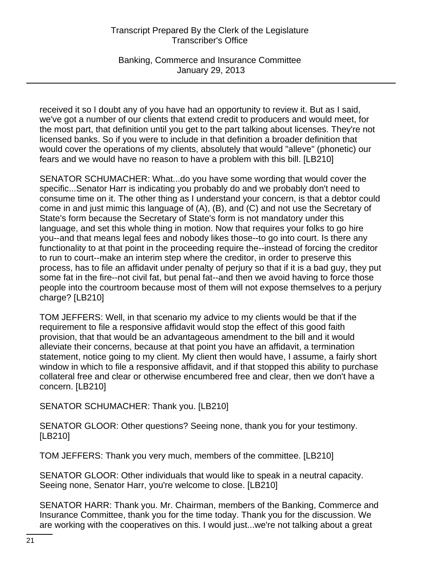Banking, Commerce and Insurance Committee January 29, 2013

received it so I doubt any of you have had an opportunity to review it. But as I said, we've got a number of our clients that extend credit to producers and would meet, for the most part, that definition until you get to the part talking about licenses. They're not licensed banks. So if you were to include in that definition a broader definition that would cover the operations of my clients, absolutely that would "alleve" (phonetic) our fears and we would have no reason to have a problem with this bill. [LB210]

SENATOR SCHUMACHER: What...do you have some wording that would cover the specific...Senator Harr is indicating you probably do and we probably don't need to consume time on it. The other thing as I understand your concern, is that a debtor could come in and just mimic this language of (A), (B), and (C) and not use the Secretary of State's form because the Secretary of State's form is not mandatory under this language, and set this whole thing in motion. Now that requires your folks to go hire you--and that means legal fees and nobody likes those--to go into court. Is there any functionality to at that point in the proceeding require the--instead of forcing the creditor to run to court--make an interim step where the creditor, in order to preserve this process, has to file an affidavit under penalty of perjury so that if it is a bad guy, they put some fat in the fire--not civil fat, but penal fat--and then we avoid having to force those people into the courtroom because most of them will not expose themselves to a perjury charge? [LB210]

TOM JEFFERS: Well, in that scenario my advice to my clients would be that if the requirement to file a responsive affidavit would stop the effect of this good faith provision, that that would be an advantageous amendment to the bill and it would alleviate their concerns, because at that point you have an affidavit, a termination statement, notice going to my client. My client then would have, I assume, a fairly short window in which to file a responsive affidavit, and if that stopped this ability to purchase collateral free and clear or otherwise encumbered free and clear, then we don't have a concern. [LB210]

SENATOR SCHUMACHER: Thank you. [LB210]

SENATOR GLOOR: Other questions? Seeing none, thank you for your testimony. [LB210]

TOM JEFFERS: Thank you very much, members of the committee. [LB210]

SENATOR GLOOR: Other individuals that would like to speak in a neutral capacity. Seeing none, Senator Harr, you're welcome to close. [LB210]

SENATOR HARR: Thank you. Mr. Chairman, members of the Banking, Commerce and Insurance Committee, thank you for the time today. Thank you for the discussion. We are working with the cooperatives on this. I would just...we're not talking about a great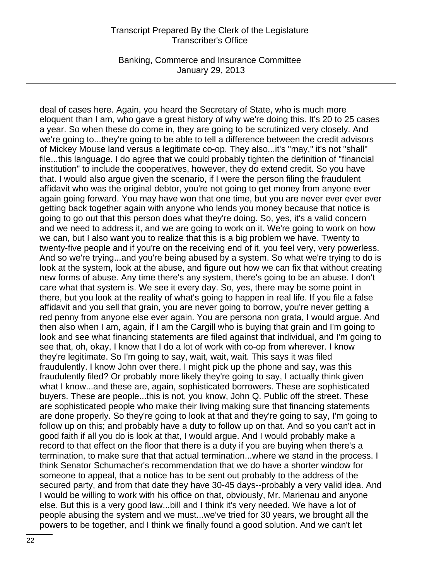Banking, Commerce and Insurance Committee January 29, 2013

deal of cases here. Again, you heard the Secretary of State, who is much more eloquent than I am, who gave a great history of why we're doing this. It's 20 to 25 cases a year. So when these do come in, they are going to be scrutinized very closely. And we're going to...they're going to be able to tell a difference between the credit advisors of Mickey Mouse land versus a legitimate co-op. They also...it's "may," it's not "shall" file...this language. I do agree that we could probably tighten the definition of "financial institution" to include the cooperatives, however, they do extend credit. So you have that. I would also argue given the scenario, if I were the person filing the fraudulent affidavit who was the original debtor, you're not going to get money from anyone ever again going forward. You may have won that one time, but you are never ever ever ever getting back together again with anyone who lends you money because that notice is going to go out that this person does what they're doing. So, yes, it's a valid concern and we need to address it, and we are going to work on it. We're going to work on how we can, but I also want you to realize that this is a big problem we have. Twenty to twenty-five people and if you're on the receiving end of it, you feel very, very powerless. And so we're trying...and you're being abused by a system. So what we're trying to do is look at the system, look at the abuse, and figure out how we can fix that without creating new forms of abuse. Any time there's any system, there's going to be an abuse. I don't care what that system is. We see it every day. So, yes, there may be some point in there, but you look at the reality of what's going to happen in real life. If you file a false affidavit and you sell that grain, you are never going to borrow, you're never getting a red penny from anyone else ever again. You are persona non grata, I would argue. And then also when I am, again, if I am the Cargill who is buying that grain and I'm going to look and see what financing statements are filed against that individual, and I'm going to see that, oh, okay, I know that I do a lot of work with co-op from wherever. I know they're legitimate. So I'm going to say, wait, wait, wait. This says it was filed fraudulently. I know John over there. I might pick up the phone and say, was this fraudulently filed? Or probably more likely they're going to say, I actually think given what I know...and these are, again, sophisticated borrowers. These are sophisticated buyers. These are people...this is not, you know, John Q. Public off the street. These are sophisticated people who make their living making sure that financing statements are done properly. So they're going to look at that and they're going to say, I'm going to follow up on this; and probably have a duty to follow up on that. And so you can't act in good faith if all you do is look at that, I would argue. And I would probably make a record to that effect on the floor that there is a duty if you are buying when there's a termination, to make sure that that actual termination...where we stand in the process. I think Senator Schumacher's recommendation that we do have a shorter window for someone to appeal, that a notice has to be sent out probably to the address of the secured party, and from that date they have 30-45 days--probably a very valid idea. And I would be willing to work with his office on that, obviously, Mr. Marienau and anyone else. But this is a very good law...bill and I think it's very needed. We have a lot of people abusing the system and we must...we've tried for 30 years, we brought all the powers to be together, and I think we finally found a good solution. And we can't let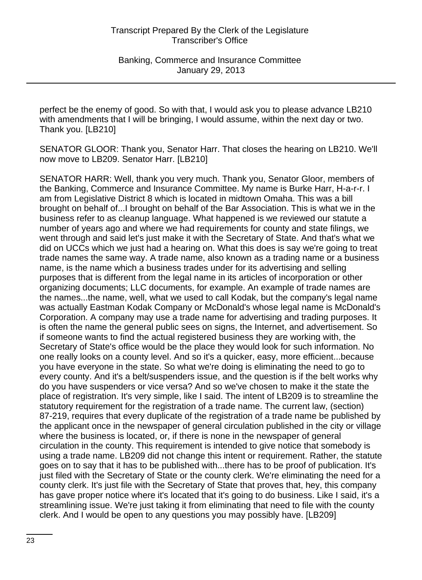perfect be the enemy of good. So with that, I would ask you to please advance LB210 with amendments that I will be bringing, I would assume, within the next day or two. Thank you. [LB210]

SENATOR GLOOR: Thank you, Senator Harr. That closes the hearing on LB210. We'll now move to LB209. Senator Harr. [LB210]

SENATOR HARR: Well, thank you very much. Thank you, Senator Gloor, members of the Banking, Commerce and Insurance Committee. My name is Burke Harr, H-a-r-r. I am from Legislative District 8 which is located in midtown Omaha. This was a bill brought on behalf of...I brought on behalf of the Bar Association. This is what we in the business refer to as cleanup language. What happened is we reviewed our statute a number of years ago and where we had requirements for county and state filings, we went through and said let's just make it with the Secretary of State. And that's what we did on UCCs which we just had a hearing on. What this does is say we're going to treat trade names the same way. A trade name, also known as a trading name or a business name, is the name which a business trades under for its advertising and selling purposes that is different from the legal name in its articles of incorporation or other organizing documents; LLC documents, for example. An example of trade names are the names...the name, well, what we used to call Kodak, but the company's legal name was actually Eastman Kodak Company or McDonald's whose legal name is McDonald's Corporation. A company may use a trade name for advertising and trading purposes. It is often the name the general public sees on signs, the Internet, and advertisement. So if someone wants to find the actual registered business they are working with, the Secretary of State's office would be the place they would look for such information. No one really looks on a county level. And so it's a quicker, easy, more efficient...because you have everyone in the state. So what we're doing is eliminating the need to go to every county. And it's a belt/suspenders issue, and the question is if the belt works why do you have suspenders or vice versa? And so we've chosen to make it the state the place of registration. It's very simple, like I said. The intent of LB209 is to streamline the statutory requirement for the registration of a trade name. The current law, (section) 87-219, requires that every duplicate of the registration of a trade name be published by the applicant once in the newspaper of general circulation published in the city or village where the business is located, or, if there is none in the newspaper of general circulation in the county. This requirement is intended to give notice that somebody is using a trade name. LB209 did not change this intent or requirement. Rather, the statute goes on to say that it has to be published with...there has to be proof of publication. It's just filed with the Secretary of State or the county clerk. We're eliminating the need for a county clerk. It's just file with the Secretary of State that proves that, hey, this company has gave proper notice where it's located that it's going to do business. Like I said, it's a streamlining issue. We're just taking it from eliminating that need to file with the county clerk. And I would be open to any questions you may possibly have. [LB209]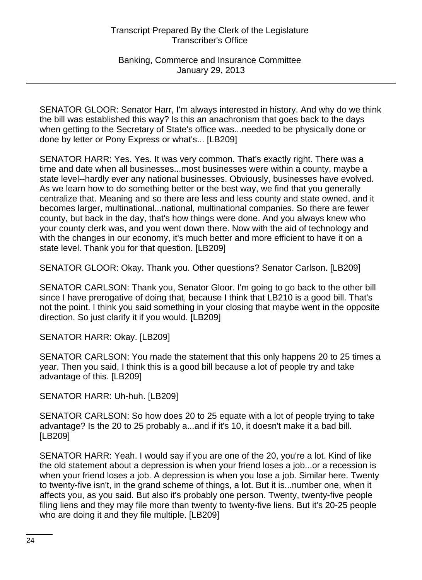Banking, Commerce and Insurance Committee January 29, 2013

SENATOR GLOOR: Senator Harr, I'm always interested in history. And why do we think the bill was established this way? Is this an anachronism that goes back to the days when getting to the Secretary of State's office was...needed to be physically done or done by letter or Pony Express or what's... [LB209]

SENATOR HARR: Yes. Yes. It was very common. That's exactly right. There was a time and date when all businesses...most businesses were within a county, maybe a state level--hardly ever any national businesses. Obviously, businesses have evolved. As we learn how to do something better or the best way, we find that you generally centralize that. Meaning and so there are less and less county and state owned, and it becomes larger, multinational...national, multinational companies. So there are fewer county, but back in the day, that's how things were done. And you always knew who your county clerk was, and you went down there. Now with the aid of technology and with the changes in our economy, it's much better and more efficient to have it on a state level. Thank you for that question. [LB209]

SENATOR GLOOR: Okay. Thank you. Other questions? Senator Carlson. [LB209]

SENATOR CARLSON: Thank you, Senator Gloor. I'm going to go back to the other bill since I have prerogative of doing that, because I think that LB210 is a good bill. That's not the point. I think you said something in your closing that maybe went in the opposite direction. So just clarify it if you would. [LB209]

SENATOR HARR: Okay. [LB209]

SENATOR CARLSON: You made the statement that this only happens 20 to 25 times a year. Then you said, I think this is a good bill because a lot of people try and take advantage of this. [LB209]

SENATOR HARR: Uh-huh. [LB209]

SENATOR CARLSON: So how does 20 to 25 equate with a lot of people trying to take advantage? Is the 20 to 25 probably a...and if it's 10, it doesn't make it a bad bill. [LB209]

SENATOR HARR: Yeah. I would say if you are one of the 20, you're a lot. Kind of like the old statement about a depression is when your friend loses a job...or a recession is when your friend loses a job. A depression is when you lose a job. Similar here. Twenty to twenty-five isn't, in the grand scheme of things, a lot. But it is...number one, when it affects you, as you said. But also it's probably one person. Twenty, twenty-five people filing liens and they may file more than twenty to twenty-five liens. But it's 20-25 people who are doing it and they file multiple. [LB209]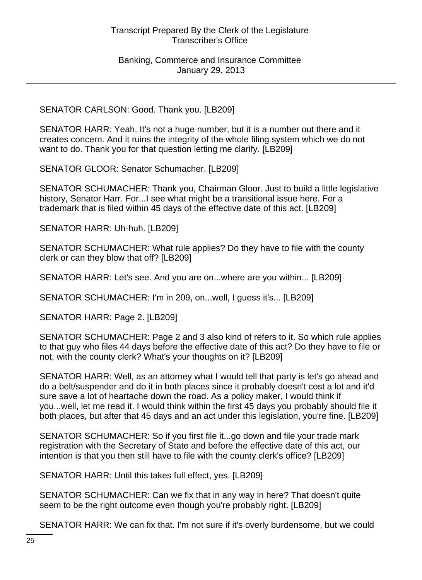SENATOR CARLSON: Good. Thank you. [LB209]

SENATOR HARR: Yeah. It's not a huge number, but it is a number out there and it creates concern. And it ruins the integrity of the whole filing system which we do not want to do. Thank you for that question letting me clarify. [LB209]

SENATOR GLOOR: Senator Schumacher. [LB209]

SENATOR SCHUMACHER: Thank you, Chairman Gloor. Just to build a little legislative history, Senator Harr. For...I see what might be a transitional issue here. For a trademark that is filed within 45 days of the effective date of this act. [LB209]

SENATOR HARR: Uh-huh. [LB209]

SENATOR SCHUMACHER: What rule applies? Do they have to file with the county clerk or can they blow that off? [LB209]

SENATOR HARR: Let's see. And you are on...where are you within... [LB209]

SENATOR SCHUMACHER: I'm in 209, on...well, I guess it's... [LB209]

SENATOR HARR: Page 2. [LB209]

SENATOR SCHUMACHER: Page 2 and 3 also kind of refers to it. So which rule applies to that guy who files 44 days before the effective date of this act? Do they have to file or not, with the county clerk? What's your thoughts on it? [LB209]

SENATOR HARR: Well, as an attorney what I would tell that party is let's go ahead and do a belt/suspender and do it in both places since it probably doesn't cost a lot and it'd sure save a lot of heartache down the road. As a policy maker, I would think if you...well, let me read it. I would think within the first 45 days you probably should file it both places, but after that 45 days and an act under this legislation, you're fine. [LB209]

SENATOR SCHUMACHER: So if you first file it...go down and file your trade mark registration with the Secretary of State and before the effective date of this act, our intention is that you then still have to file with the county clerk's office? [LB209]

SENATOR HARR: Until this takes full effect, yes. [LB209]

SENATOR SCHUMACHER: Can we fix that in any way in here? That doesn't quite seem to be the right outcome even though you're probably right. [LB209]

SENATOR HARR: We can fix that. I'm not sure if it's overly burdensome, but we could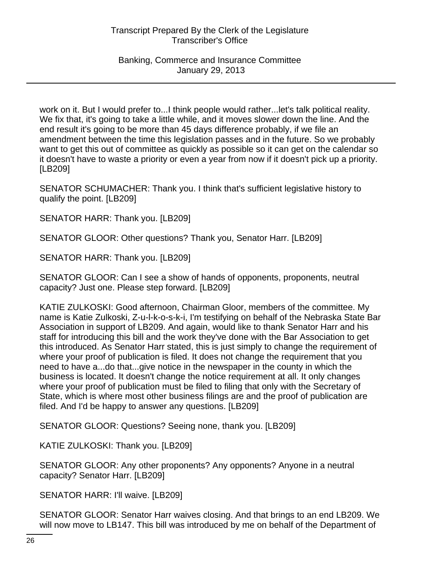work on it. But I would prefer to...I think people would rather...let's talk political reality. We fix that, it's going to take a little while, and it moves slower down the line. And the end result it's going to be more than 45 days difference probably, if we file an amendment between the time this legislation passes and in the future. So we probably want to get this out of committee as quickly as possible so it can get on the calendar so it doesn't have to waste a priority or even a year from now if it doesn't pick up a priority. [LB209]

SENATOR SCHUMACHER: Thank you. I think that's sufficient legislative history to qualify the point. [LB209]

SENATOR HARR: Thank you. [LB209]

SENATOR GLOOR: Other questions? Thank you, Senator Harr. [LB209]

SENATOR HARR: Thank you. [LB209]

SENATOR GLOOR: Can I see a show of hands of opponents, proponents, neutral capacity? Just one. Please step forward. [LB209]

KATIE ZULKOSKI: Good afternoon, Chairman Gloor, members of the committee. My name is Katie Zulkoski, Z-u-l-k-o-s-k-i, I'm testifying on behalf of the Nebraska State Bar Association in support of LB209. And again, would like to thank Senator Harr and his staff for introducing this bill and the work they've done with the Bar Association to get this introduced. As Senator Harr stated, this is just simply to change the requirement of where your proof of publication is filed. It does not change the requirement that you need to have a...do that...give notice in the newspaper in the county in which the business is located. It doesn't change the notice requirement at all. It only changes where your proof of publication must be filed to filing that only with the Secretary of State, which is where most other business filings are and the proof of publication are filed. And I'd be happy to answer any questions. [LB209]

SENATOR GLOOR: Questions? Seeing none, thank you. [LB209]

KATIE ZULKOSKI: Thank you. [LB209]

SENATOR GLOOR: Any other proponents? Any opponents? Anyone in a neutral capacity? Senator Harr. [LB209]

SENATOR HARR: I'll waive. [LB209]

SENATOR GLOOR: Senator Harr waives closing. And that brings to an end LB209. We will now move to LB147. This bill was introduced by me on behalf of the Department of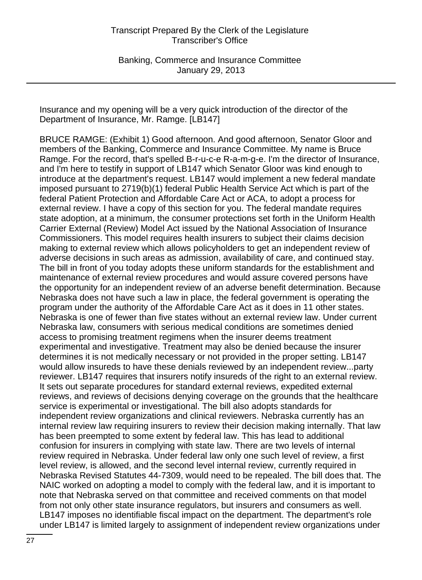Insurance and my opening will be a very quick introduction of the director of the Department of Insurance, Mr. Ramge. [LB147]

BRUCE RAMGE: (Exhibit 1) Good afternoon. And good afternoon, Senator Gloor and members of the Banking, Commerce and Insurance Committee. My name is Bruce Ramge. For the record, that's spelled B-r-u-c-e R-a-m-g-e. I'm the director of Insurance, and I'm here to testify in support of LB147 which Senator Gloor was kind enough to introduce at the department's request. LB147 would implement a new federal mandate imposed pursuant to 2719(b)(1) federal Public Health Service Act which is part of the federal Patient Protection and Affordable Care Act or ACA, to adopt a process for external review. I have a copy of this section for you. The federal mandate requires state adoption, at a minimum, the consumer protections set forth in the Uniform Health Carrier External (Review) Model Act issued by the National Association of Insurance Commissioners. This model requires health insurers to subject their claims decision making to external review which allows policyholders to get an independent review of adverse decisions in such areas as admission, availability of care, and continued stay. The bill in front of you today adopts these uniform standards for the establishment and maintenance of external review procedures and would assure covered persons have the opportunity for an independent review of an adverse benefit determination. Because Nebraska does not have such a law in place, the federal government is operating the program under the authority of the Affordable Care Act as it does in 11 other states. Nebraska is one of fewer than five states without an external review law. Under current Nebraska law, consumers with serious medical conditions are sometimes denied access to promising treatment regimens when the insurer deems treatment experimental and investigative. Treatment may also be denied because the insurer determines it is not medically necessary or not provided in the proper setting. LB147 would allow insureds to have these denials reviewed by an independent review...party reviewer. LB147 requires that insurers notify insureds of the right to an external review. It sets out separate procedures for standard external reviews, expedited external reviews, and reviews of decisions denying coverage on the grounds that the healthcare service is experimental or investigational. The bill also adopts standards for independent review organizations and clinical reviewers. Nebraska currently has an internal review law requiring insurers to review their decision making internally. That law has been preempted to some extent by federal law. This has lead to additional confusion for insurers in complying with state law. There are two levels of internal review required in Nebraska. Under federal law only one such level of review, a first level review, is allowed, and the second level internal review, currently required in Nebraska Revised Statutes 44-7309, would need to be repealed. The bill does that. The NAIC worked on adopting a model to comply with the federal law, and it is important to note that Nebraska served on that committee and received comments on that model from not only other state insurance regulators, but insurers and consumers as well. LB147 imposes no identifiable fiscal impact on the department. The department's role under LB147 is limited largely to assignment of independent review organizations under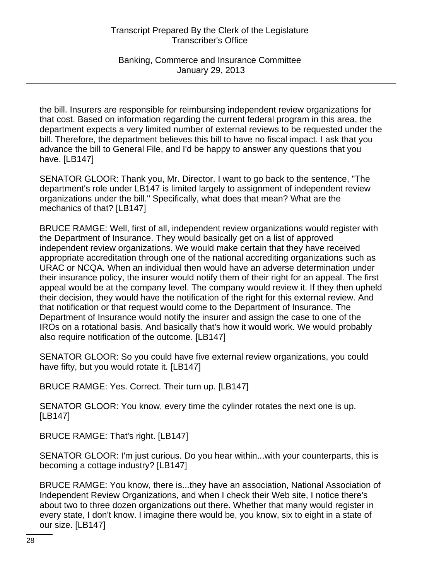Banking, Commerce and Insurance Committee January 29, 2013

the bill. Insurers are responsible for reimbursing independent review organizations for that cost. Based on information regarding the current federal program in this area, the department expects a very limited number of external reviews to be requested under the bill. Therefore, the department believes this bill to have no fiscal impact. I ask that you advance the bill to General File, and I'd be happy to answer any questions that you have. [LB147]

SENATOR GLOOR: Thank you, Mr. Director. I want to go back to the sentence, "The department's role under LB147 is limited largely to assignment of independent review organizations under the bill." Specifically, what does that mean? What are the mechanics of that? [LB147]

BRUCE RAMGE: Well, first of all, independent review organizations would register with the Department of Insurance. They would basically get on a list of approved independent review organizations. We would make certain that they have received appropriate accreditation through one of the national accrediting organizations such as URAC or NCQA. When an individual then would have an adverse determination under their insurance policy, the insurer would notify them of their right for an appeal. The first appeal would be at the company level. The company would review it. If they then upheld their decision, they would have the notification of the right for this external review. And that notification or that request would come to the Department of Insurance. The Department of Insurance would notify the insurer and assign the case to one of the IROs on a rotational basis. And basically that's how it would work. We would probably also require notification of the outcome. [LB147]

SENATOR GLOOR: So you could have five external review organizations, you could have fifty, but you would rotate it. [LB147]

BRUCE RAMGE: Yes. Correct. Their turn up. [LB147]

SENATOR GLOOR: You know, every time the cylinder rotates the next one is up. [LB147]

BRUCE RAMGE: That's right. [LB147]

SENATOR GLOOR: I'm just curious. Do you hear within...with your counterparts, this is becoming a cottage industry? [LB147]

BRUCE RAMGE: You know, there is...they have an association, National Association of Independent Review Organizations, and when I check their Web site, I notice there's about two to three dozen organizations out there. Whether that many would register in every state, I don't know. I imagine there would be, you know, six to eight in a state of our size. [LB147]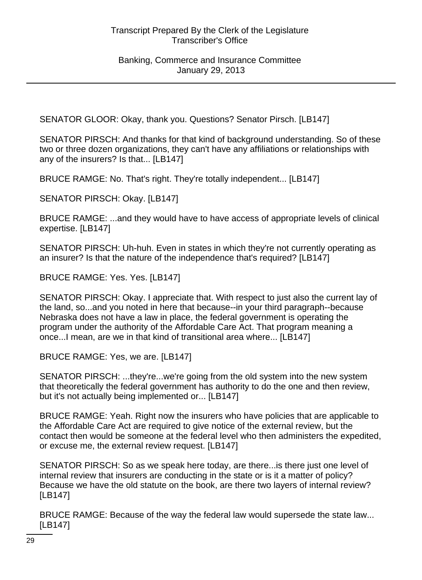SENATOR GLOOR: Okay, thank you. Questions? Senator Pirsch. [LB147]

SENATOR PIRSCH: And thanks for that kind of background understanding. So of these two or three dozen organizations, they can't have any affiliations or relationships with any of the insurers? Is that... [LB147]

BRUCE RAMGE: No. That's right. They're totally independent... [LB147]

SENATOR PIRSCH: Okay. [LB147]

BRUCE RAMGE: ...and they would have to have access of appropriate levels of clinical expertise. [LB147]

SENATOR PIRSCH: Uh-huh. Even in states in which they're not currently operating as an insurer? Is that the nature of the independence that's required? [LB147]

BRUCE RAMGE: Yes. Yes. [LB147]

SENATOR PIRSCH: Okay. I appreciate that. With respect to just also the current lay of the land, so...and you noted in here that because--in your third paragraph--because Nebraska does not have a law in place, the federal government is operating the program under the authority of the Affordable Care Act. That program meaning a once...I mean, are we in that kind of transitional area where... [LB147]

BRUCE RAMGE: Yes, we are. [LB147]

SENATOR PIRSCH: ...they're...we're going from the old system into the new system that theoretically the federal government has authority to do the one and then review, but it's not actually being implemented or... [LB147]

BRUCE RAMGE: Yeah. Right now the insurers who have policies that are applicable to the Affordable Care Act are required to give notice of the external review, but the contact then would be someone at the federal level who then administers the expedited, or excuse me, the external review request. [LB147]

SENATOR PIRSCH: So as we speak here today, are there...is there just one level of internal review that insurers are conducting in the state or is it a matter of policy? Because we have the old statute on the book, are there two layers of internal review? [LB147]

BRUCE RAMGE: Because of the way the federal law would supersede the state law... [LB147]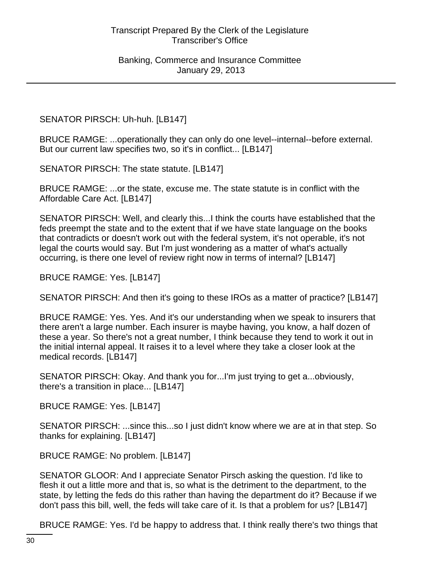SENATOR PIRSCH: Uh-huh. [LB147]

BRUCE RAMGE: ...operationally they can only do one level--internal--before external. But our current law specifies two, so it's in conflict... [LB147]

SENATOR PIRSCH: The state statute. [LB147]

BRUCE RAMGE: ...or the state, excuse me. The state statute is in conflict with the Affordable Care Act. [LB147]

SENATOR PIRSCH: Well, and clearly this...I think the courts have established that the feds preempt the state and to the extent that if we have state language on the books that contradicts or doesn't work out with the federal system, it's not operable, it's not legal the courts would say. But I'm just wondering as a matter of what's actually occurring, is there one level of review right now in terms of internal? [LB147]

BRUCE RAMGE: Yes. [LB147]

SENATOR PIRSCH: And then it's going to these IROs as a matter of practice? [LB147]

BRUCE RAMGE: Yes. Yes. And it's our understanding when we speak to insurers that there aren't a large number. Each insurer is maybe having, you know, a half dozen of these a year. So there's not a great number, I think because they tend to work it out in the initial internal appeal. It raises it to a level where they take a closer look at the medical records. [LB147]

SENATOR PIRSCH: Okay. And thank you for...I'm just trying to get a...obviously, there's a transition in place... [LB147]

BRUCE RAMGE: Yes. [LB147]

SENATOR PIRSCH: ...since this...so I just didn't know where we are at in that step. So thanks for explaining. [LB147]

BRUCE RAMGE: No problem. [LB147]

SENATOR GLOOR: And I appreciate Senator Pirsch asking the question. I'd like to flesh it out a little more and that is, so what is the detriment to the department, to the state, by letting the feds do this rather than having the department do it? Because if we don't pass this bill, well, the feds will take care of it. Is that a problem for us? [LB147]

BRUCE RAMGE: Yes. I'd be happy to address that. I think really there's two things that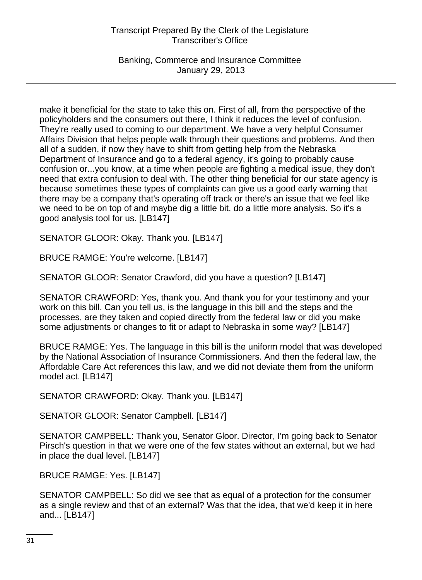Banking, Commerce and Insurance Committee January 29, 2013

make it beneficial for the state to take this on. First of all, from the perspective of the policyholders and the consumers out there, I think it reduces the level of confusion. They're really used to coming to our department. We have a very helpful Consumer Affairs Division that helps people walk through their questions and problems. And then all of a sudden, if now they have to shift from getting help from the Nebraska Department of Insurance and go to a federal agency, it's going to probably cause confusion or...you know, at a time when people are fighting a medical issue, they don't need that extra confusion to deal with. The other thing beneficial for our state agency is because sometimes these types of complaints can give us a good early warning that there may be a company that's operating off track or there's an issue that we feel like we need to be on top of and maybe dig a little bit, do a little more analysis. So it's a good analysis tool for us. [LB147]

SENATOR GLOOR: Okay. Thank you. [LB147]

BRUCE RAMGE: You're welcome. [LB147]

SENATOR GLOOR: Senator Crawford, did you have a question? [LB147]

SENATOR CRAWFORD: Yes, thank you. And thank you for your testimony and your work on this bill. Can you tell us, is the language in this bill and the steps and the processes, are they taken and copied directly from the federal law or did you make some adjustments or changes to fit or adapt to Nebraska in some way? [LB147]

BRUCE RAMGE: Yes. The language in this bill is the uniform model that was developed by the National Association of Insurance Commissioners. And then the federal law, the Affordable Care Act references this law, and we did not deviate them from the uniform model act. [LB147]

SENATOR CRAWFORD: Okay. Thank you. [LB147]

SENATOR GLOOR: Senator Campbell. [LB147]

SENATOR CAMPBELL: Thank you, Senator Gloor. Director, I'm going back to Senator Pirsch's question in that we were one of the few states without an external, but we had in place the dual level. [LB147]

BRUCE RAMGE: Yes. [LB147]

SENATOR CAMPBELL: So did we see that as equal of a protection for the consumer as a single review and that of an external? Was that the idea, that we'd keep it in here and... [LB147]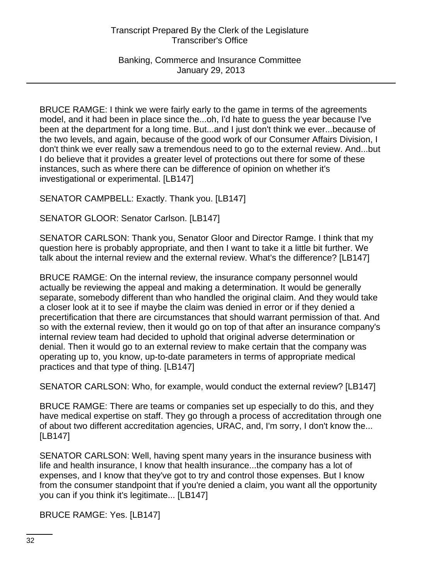Banking, Commerce and Insurance Committee January 29, 2013

BRUCE RAMGE: I think we were fairly early to the game in terms of the agreements model, and it had been in place since the...oh, I'd hate to guess the year because I've been at the department for a long time. But...and I just don't think we ever...because of the two levels, and again, because of the good work of our Consumer Affairs Division, I don't think we ever really saw a tremendous need to go to the external review. And...but I do believe that it provides a greater level of protections out there for some of these instances, such as where there can be difference of opinion on whether it's investigational or experimental. [LB147]

SENATOR CAMPBELL: Exactly. Thank you. [LB147]

SENATOR GLOOR: Senator Carlson. [LB147]

SENATOR CARLSON: Thank you, Senator Gloor and Director Ramge. I think that my question here is probably appropriate, and then I want to take it a little bit further. We talk about the internal review and the external review. What's the difference? [LB147]

BRUCE RAMGE: On the internal review, the insurance company personnel would actually be reviewing the appeal and making a determination. It would be generally separate, somebody different than who handled the original claim. And they would take a closer look at it to see if maybe the claim was denied in error or if they denied a precertification that there are circumstances that should warrant permission of that. And so with the external review, then it would go on top of that after an insurance company's internal review team had decided to uphold that original adverse determination or denial. Then it would go to an external review to make certain that the company was operating up to, you know, up-to-date parameters in terms of appropriate medical practices and that type of thing. [LB147]

SENATOR CARLSON: Who, for example, would conduct the external review? [LB147]

BRUCE RAMGE: There are teams or companies set up especially to do this, and they have medical expertise on staff. They go through a process of accreditation through one of about two different accreditation agencies, URAC, and, I'm sorry, I don't know the... [LB147]

SENATOR CARLSON: Well, having spent many years in the insurance business with life and health insurance, I know that health insurance...the company has a lot of expenses, and I know that they've got to try and control those expenses. But I know from the consumer standpoint that if you're denied a claim, you want all the opportunity you can if you think it's legitimate... [LB147]

BRUCE RAMGE: Yes. [LB147]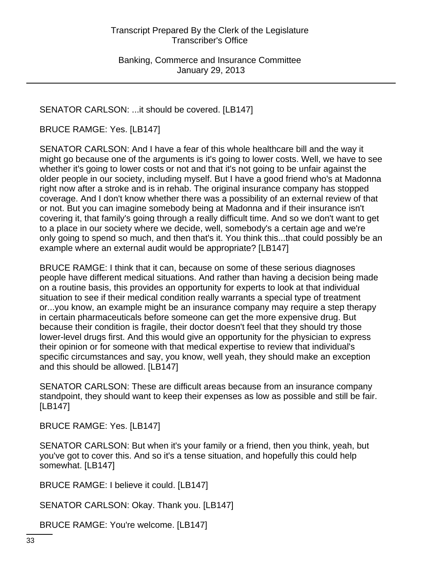SENATOR CARLSON: ...it should be covered. [LB147]

BRUCE RAMGE: Yes. [LB147]

SENATOR CARLSON: And I have a fear of this whole healthcare bill and the way it might go because one of the arguments is it's going to lower costs. Well, we have to see whether it's going to lower costs or not and that it's not going to be unfair against the older people in our society, including myself. But I have a good friend who's at Madonna right now after a stroke and is in rehab. The original insurance company has stopped coverage. And I don't know whether there was a possibility of an external review of that or not. But you can imagine somebody being at Madonna and if their insurance isn't covering it, that family's going through a really difficult time. And so we don't want to get to a place in our society where we decide, well, somebody's a certain age and we're only going to spend so much, and then that's it. You think this...that could possibly be an example where an external audit would be appropriate? [LB147]

BRUCE RAMGE: I think that it can, because on some of these serious diagnoses people have different medical situations. And rather than having a decision being made on a routine basis, this provides an opportunity for experts to look at that individual situation to see if their medical condition really warrants a special type of treatment or...you know, an example might be an insurance company may require a step therapy in certain pharmaceuticals before someone can get the more expensive drug. But because their condition is fragile, their doctor doesn't feel that they should try those lower-level drugs first. And this would give an opportunity for the physician to express their opinion or for someone with that medical expertise to review that individual's specific circumstances and say, you know, well yeah, they should make an exception and this should be allowed. [LB147]

SENATOR CARLSON: These are difficult areas because from an insurance company standpoint, they should want to keep their expenses as low as possible and still be fair. [LB147]

BRUCE RAMGE: Yes. [LB147]

SENATOR CARLSON: But when it's your family or a friend, then you think, yeah, but you've got to cover this. And so it's a tense situation, and hopefully this could help somewhat. [LB147]

BRUCE RAMGE: I believe it could. [LB147]

SENATOR CARLSON: Okay. Thank you. [LB147]

BRUCE RAMGE: You're welcome. [LB147]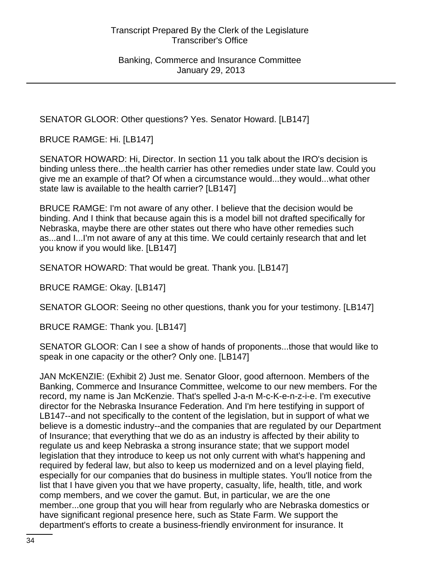SENATOR GLOOR: Other questions? Yes. Senator Howard. [LB147]

BRUCE RAMGE: Hi. [LB147]

SENATOR HOWARD: Hi, Director. In section 11 you talk about the IRO's decision is binding unless there...the health carrier has other remedies under state law. Could you give me an example of that? Of when a circumstance would...they would...what other state law is available to the health carrier? [LB147]

BRUCE RAMGE: I'm not aware of any other. I believe that the decision would be binding. And I think that because again this is a model bill not drafted specifically for Nebraska, maybe there are other states out there who have other remedies such as...and I...I'm not aware of any at this time. We could certainly research that and let you know if you would like. [LB147]

SENATOR HOWARD: That would be great. Thank you. [LB147]

BRUCE RAMGE: Okay. [LB147]

SENATOR GLOOR: Seeing no other questions, thank you for your testimony. [LB147]

BRUCE RAMGE: Thank you. [LB147]

SENATOR GLOOR: Can I see a show of hands of proponents...those that would like to speak in one capacity or the other? Only one. [LB147]

JAN McKENZIE: (Exhibit 2) Just me. Senator Gloor, good afternoon. Members of the Banking, Commerce and Insurance Committee, welcome to our new members. For the record, my name is Jan McKenzie. That's spelled J-a-n M-c-K-e-n-z-i-e. I'm executive director for the Nebraska Insurance Federation. And I'm here testifying in support of LB147--and not specifically to the content of the legislation, but in support of what we believe is a domestic industry--and the companies that are regulated by our Department of Insurance; that everything that we do as an industry is affected by their ability to regulate us and keep Nebraska a strong insurance state; that we support model legislation that they introduce to keep us not only current with what's happening and required by federal law, but also to keep us modernized and on a level playing field, especially for our companies that do business in multiple states. You'll notice from the list that I have given you that we have property, casualty, life, health, title, and work comp members, and we cover the gamut. But, in particular, we are the one member...one group that you will hear from regularly who are Nebraska domestics or have significant regional presence here, such as State Farm. We support the department's efforts to create a business-friendly environment for insurance. It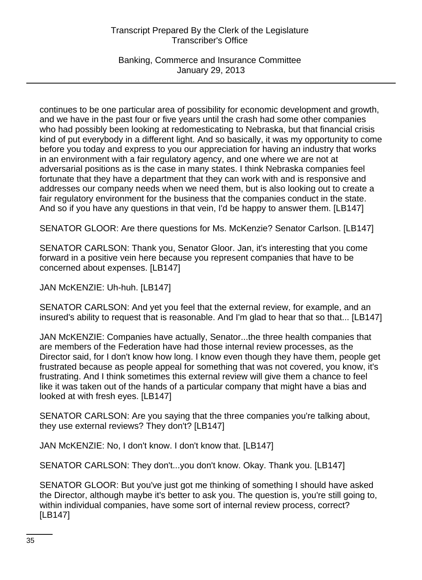Banking, Commerce and Insurance Committee January 29, 2013

continues to be one particular area of possibility for economic development and growth, and we have in the past four or five years until the crash had some other companies who had possibly been looking at redomesticating to Nebraska, but that financial crisis kind of put everybody in a different light. And so basically, it was my opportunity to come before you today and express to you our appreciation for having an industry that works in an environment with a fair regulatory agency, and one where we are not at adversarial positions as is the case in many states. I think Nebraska companies feel fortunate that they have a department that they can work with and is responsive and addresses our company needs when we need them, but is also looking out to create a fair regulatory environment for the business that the companies conduct in the state. And so if you have any questions in that vein, I'd be happy to answer them. [LB147]

SENATOR GLOOR: Are there questions for Ms. McKenzie? Senator Carlson. [LB147]

SENATOR CARLSON: Thank you, Senator Gloor. Jan, it's interesting that you come forward in a positive vein here because you represent companies that have to be concerned about expenses. [LB147]

JAN McKENZIE: Uh-huh. [LB147]

SENATOR CARLSON: And yet you feel that the external review, for example, and an insured's ability to request that is reasonable. And I'm glad to hear that so that... [LB147]

JAN McKENZIE: Companies have actually, Senator...the three health companies that are members of the Federation have had those internal review processes, as the Director said, for I don't know how long. I know even though they have them, people get frustrated because as people appeal for something that was not covered, you know, it's frustrating. And I think sometimes this external review will give them a chance to feel like it was taken out of the hands of a particular company that might have a bias and looked at with fresh eyes. [LB147]

SENATOR CARLSON: Are you saying that the three companies you're talking about, they use external reviews? They don't? [LB147]

JAN McKENZIE: No, I don't know. I don't know that. [LB147]

SENATOR CARLSON: They don't...you don't know. Okay. Thank you. [LB147]

SENATOR GLOOR: But you've just got me thinking of something I should have asked the Director, although maybe it's better to ask you. The question is, you're still going to, within individual companies, have some sort of internal review process, correct? [LB147]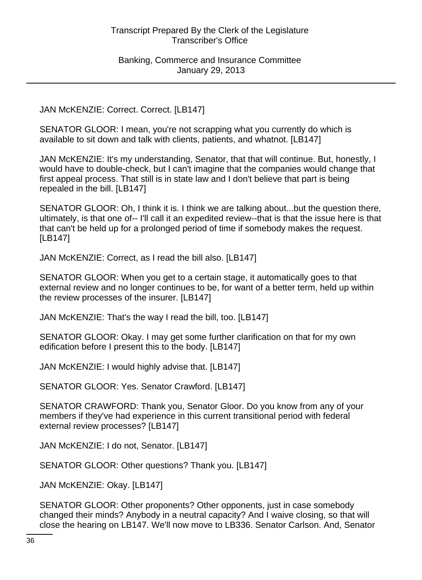JAN McKENZIE: Correct. Correct. [LB147]

SENATOR GLOOR: I mean, you're not scrapping what you currently do which is available to sit down and talk with clients, patients, and whatnot. [LB147]

JAN McKENZIE: It's my understanding, Senator, that that will continue. But, honestly, I would have to double-check, but I can't imagine that the companies would change that first appeal process. That still is in state law and I don't believe that part is being repealed in the bill. [LB147]

SENATOR GLOOR: Oh, I think it is. I think we are talking about...but the question there, ultimately, is that one of-- I'll call it an expedited review--that is that the issue here is that that can't be held up for a prolonged period of time if somebody makes the request. [LB147]

JAN McKENZIE: Correct, as I read the bill also. [LB147]

SENATOR GLOOR: When you get to a certain stage, it automatically goes to that external review and no longer continues to be, for want of a better term, held up within the review processes of the insurer. [LB147]

JAN McKENZIE: That's the way I read the bill, too. [LB147]

SENATOR GLOOR: Okay. I may get some further clarification on that for my own edification before I present this to the body. [LB147]

JAN McKENZIE: I would highly advise that. [LB147]

SENATOR GLOOR: Yes. Senator Crawford. [LB147]

SENATOR CRAWFORD: Thank you, Senator Gloor. Do you know from any of your members if they've had experience in this current transitional period with federal external review processes? [LB147]

JAN McKENZIE: I do not, Senator. [LB147]

SENATOR GLOOR: Other questions? Thank you. [LB147]

JAN McKENZIE: Okay. [LB147]

SENATOR GLOOR: Other proponents? Other opponents, just in case somebody changed their minds? Anybody in a neutral capacity? And I waive closing, so that will close the hearing on LB147. We'll now move to LB336. Senator Carlson. And, Senator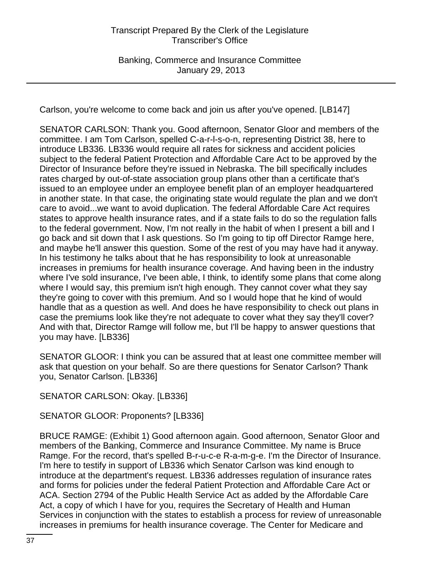Carlson, you're welcome to come back and join us after you've opened. [LB147]

SENATOR CARLSON: Thank you. Good afternoon, Senator Gloor and members of the committee. I am Tom Carlson, spelled C-a-r-l-s-o-n, representing District 38, here to introduce LB336. LB336 would require all rates for sickness and accident policies subject to the federal Patient Protection and Affordable Care Act to be approved by the Director of Insurance before they're issued in Nebraska. The bill specifically includes rates charged by out-of-state association group plans other than a certificate that's issued to an employee under an employee benefit plan of an employer headquartered in another state. In that case, the originating state would regulate the plan and we don't care to avoid...we want to avoid duplication. The federal Affordable Care Act requires states to approve health insurance rates, and if a state fails to do so the regulation falls to the federal government. Now, I'm not really in the habit of when I present a bill and I go back and sit down that I ask questions. So I'm going to tip off Director Ramge here, and maybe he'll answer this question. Some of the rest of you may have had it anyway. In his testimony he talks about that he has responsibility to look at unreasonable increases in premiums for health insurance coverage. And having been in the industry where I've sold insurance, I've been able, I think, to identify some plans that come along where I would say, this premium isn't high enough. They cannot cover what they say they're going to cover with this premium. And so I would hope that he kind of would handle that as a question as well. And does he have responsibility to check out plans in case the premiums look like they're not adequate to cover what they say they'll cover? And with that, Director Ramge will follow me, but I'll be happy to answer questions that you may have. [LB336]

SENATOR GLOOR: I think you can be assured that at least one committee member will ask that question on your behalf. So are there questions for Senator Carlson? Thank you, Senator Carlson. [LB336]

SENATOR CARLSON: Okay. [LB336]

SENATOR GLOOR: Proponents? [LB336]

BRUCE RAMGE: (Exhibit 1) Good afternoon again. Good afternoon, Senator Gloor and members of the Banking, Commerce and Insurance Committee. My name is Bruce Ramge. For the record, that's spelled B-r-u-c-e R-a-m-g-e. I'm the Director of Insurance. I'm here to testify in support of LB336 which Senator Carlson was kind enough to introduce at the department's request. LB336 addresses regulation of insurance rates and forms for policies under the federal Patient Protection and Affordable Care Act or ACA. Section 2794 of the Public Health Service Act as added by the Affordable Care Act, a copy of which I have for you, requires the Secretary of Health and Human Services in conjunction with the states to establish a process for review of unreasonable increases in premiums for health insurance coverage. The Center for Medicare and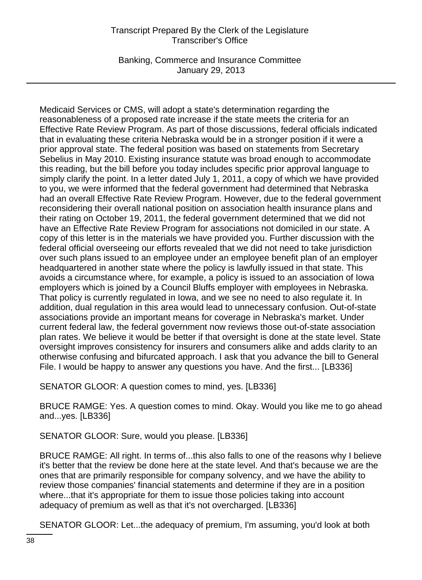Banking, Commerce and Insurance Committee January 29, 2013

Medicaid Services or CMS, will adopt a state's determination regarding the reasonableness of a proposed rate increase if the state meets the criteria for an Effective Rate Review Program. As part of those discussions, federal officials indicated that in evaluating these criteria Nebraska would be in a stronger position if it were a prior approval state. The federal position was based on statements from Secretary Sebelius in May 2010. Existing insurance statute was broad enough to accommodate this reading, but the bill before you today includes specific prior approval language to simply clarify the point. In a letter dated July 1, 2011, a copy of which we have provided to you, we were informed that the federal government had determined that Nebraska had an overall Effective Rate Review Program. However, due to the federal government reconsidering their overall national position on association health insurance plans and their rating on October 19, 2011, the federal government determined that we did not have an Effective Rate Review Program for associations not domiciled in our state. A copy of this letter is in the materials we have provided you. Further discussion with the federal official overseeing our efforts revealed that we did not need to take jurisdiction over such plans issued to an employee under an employee benefit plan of an employer headquartered in another state where the policy is lawfully issued in that state. This avoids a circumstance where, for example, a policy is issued to an association of Iowa employers which is joined by a Council Bluffs employer with employees in Nebraska. That policy is currently regulated in Iowa, and we see no need to also regulate it. In addition, dual regulation in this area would lead to unnecessary confusion. Out-of-state associations provide an important means for coverage in Nebraska's market. Under current federal law, the federal government now reviews those out-of-state association plan rates. We believe it would be better if that oversight is done at the state level. State oversight improves consistency for insurers and consumers alike and adds clarity to an otherwise confusing and bifurcated approach. I ask that you advance the bill to General File. I would be happy to answer any questions you have. And the first... [LB336]

SENATOR GLOOR: A question comes to mind, yes. [LB336]

BRUCE RAMGE: Yes. A question comes to mind. Okay. Would you like me to go ahead and...yes. [LB336]

SENATOR GLOOR: Sure, would you please. [LB336]

BRUCE RAMGE: All right. In terms of...this also falls to one of the reasons why I believe it's better that the review be done here at the state level. And that's because we are the ones that are primarily responsible for company solvency, and we have the ability to review those companies' financial statements and determine if they are in a position where...that it's appropriate for them to issue those policies taking into account adequacy of premium as well as that it's not overcharged. [LB336]

SENATOR GLOOR: Let...the adequacy of premium, I'm assuming, you'd look at both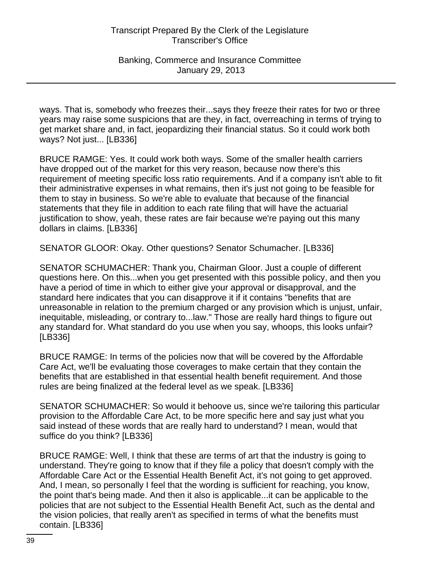ways. That is, somebody who freezes their...says they freeze their rates for two or three years may raise some suspicions that are they, in fact, overreaching in terms of trying to get market share and, in fact, jeopardizing their financial status. So it could work both ways? Not just... [LB336]

BRUCE RAMGE: Yes. It could work both ways. Some of the smaller health carriers have dropped out of the market for this very reason, because now there's this requirement of meeting specific loss ratio requirements. And if a company isn't able to fit their administrative expenses in what remains, then it's just not going to be feasible for them to stay in business. So we're able to evaluate that because of the financial statements that they file in addition to each rate filing that will have the actuarial justification to show, yeah, these rates are fair because we're paying out this many dollars in claims. [LB336]

SENATOR GLOOR: Okay. Other questions? Senator Schumacher. [LB336]

SENATOR SCHUMACHER: Thank you, Chairman Gloor. Just a couple of different questions here. On this...when you get presented with this possible policy, and then you have a period of time in which to either give your approval or disapproval, and the standard here indicates that you can disapprove it if it contains "benefits that are unreasonable in relation to the premium charged or any provision which is unjust, unfair, inequitable, misleading, or contrary to...law." Those are really hard things to figure out any standard for. What standard do you use when you say, whoops, this looks unfair? [LB336]

BRUCE RAMGE: In terms of the policies now that will be covered by the Affordable Care Act, we'll be evaluating those coverages to make certain that they contain the benefits that are established in that essential health benefit requirement. And those rules are being finalized at the federal level as we speak. [LB336]

SENATOR SCHUMACHER: So would it behoove us, since we're tailoring this particular provision to the Affordable Care Act, to be more specific here and say just what you said instead of these words that are really hard to understand? I mean, would that suffice do you think? [LB336]

BRUCE RAMGE: Well, I think that these are terms of art that the industry is going to understand. They're going to know that if they file a policy that doesn't comply with the Affordable Care Act or the Essential Health Benefit Act, it's not going to get approved. And, I mean, so personally I feel that the wording is sufficient for reaching, you know, the point that's being made. And then it also is applicable...it can be applicable to the policies that are not subject to the Essential Health Benefit Act, such as the dental and the vision policies, that really aren't as specified in terms of what the benefits must contain. [LB336]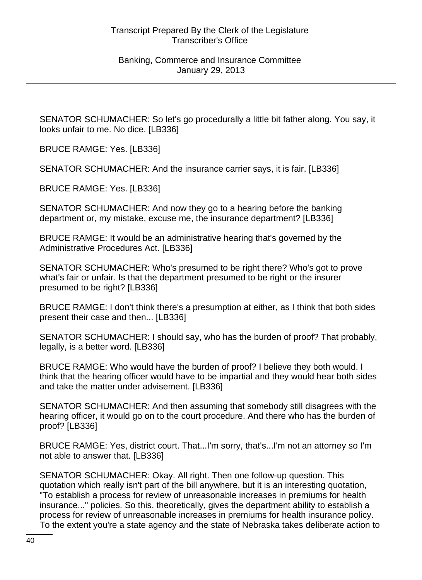SENATOR SCHUMACHER: So let's go procedurally a little bit father along. You say, it looks unfair to me. No dice. [LB336]

BRUCE RAMGE: Yes. [LB336]

SENATOR SCHUMACHER: And the insurance carrier says, it is fair. [LB336]

BRUCE RAMGE: Yes. [LB336]

SENATOR SCHUMACHER: And now they go to a hearing before the banking department or, my mistake, excuse me, the insurance department? [LB336]

BRUCE RAMGE: It would be an administrative hearing that's governed by the Administrative Procedures Act. [LB336]

SENATOR SCHUMACHER: Who's presumed to be right there? Who's got to prove what's fair or unfair. Is that the department presumed to be right or the insurer presumed to be right? [LB336]

BRUCE RAMGE: I don't think there's a presumption at either, as I think that both sides present their case and then... [LB336]

SENATOR SCHUMACHER: I should say, who has the burden of proof? That probably, legally, is a better word. [LB336]

BRUCE RAMGE: Who would have the burden of proof? I believe they both would. I think that the hearing officer would have to be impartial and they would hear both sides and take the matter under advisement. [LB336]

SENATOR SCHUMACHER: And then assuming that somebody still disagrees with the hearing officer, it would go on to the court procedure. And there who has the burden of proof? [LB336]

BRUCE RAMGE: Yes, district court. That...I'm sorry, that's...I'm not an attorney so I'm not able to answer that. [LB336]

SENATOR SCHUMACHER: Okay. All right. Then one follow-up question. This quotation which really isn't part of the bill anywhere, but it is an interesting quotation, "To establish a process for review of unreasonable increases in premiums for health insurance..." policies. So this, theoretically, gives the department ability to establish a process for review of unreasonable increases in premiums for health insurance policy. To the extent you're a state agency and the state of Nebraska takes deliberate action to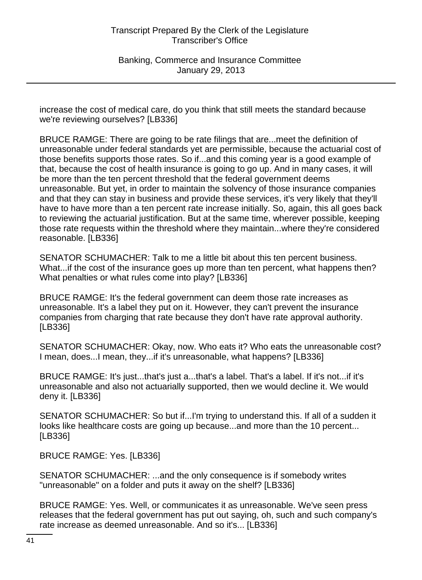increase the cost of medical care, do you think that still meets the standard because we're reviewing ourselves? [LB336]

BRUCE RAMGE: There are going to be rate filings that are...meet the definition of unreasonable under federal standards yet are permissible, because the actuarial cost of those benefits supports those rates. So if...and this coming year is a good example of that, because the cost of health insurance is going to go up. And in many cases, it will be more than the ten percent threshold that the federal government deems unreasonable. But yet, in order to maintain the solvency of those insurance companies and that they can stay in business and provide these services, it's very likely that they'll have to have more than a ten percent rate increase initially. So, again, this all goes back to reviewing the actuarial justification. But at the same time, wherever possible, keeping those rate requests within the threshold where they maintain...where they're considered reasonable. [LB336]

SENATOR SCHUMACHER: Talk to me a little bit about this ten percent business. What...if the cost of the insurance goes up more than ten percent, what happens then? What penalties or what rules come into play? [LB336]

BRUCE RAMGE: It's the federal government can deem those rate increases as unreasonable. It's a label they put on it. However, they can't prevent the insurance companies from charging that rate because they don't have rate approval authority. [LB336]

SENATOR SCHUMACHER: Okay, now. Who eats it? Who eats the unreasonable cost? I mean, does...I mean, they...if it's unreasonable, what happens? [LB336]

BRUCE RAMGE: It's just...that's just a...that's a label. That's a label. If it's not...if it's unreasonable and also not actuarially supported, then we would decline it. We would deny it. [LB336]

SENATOR SCHUMACHER: So but if...I'm trying to understand this. If all of a sudden it looks like healthcare costs are going up because...and more than the 10 percent... [LB336]

BRUCE RAMGE: Yes. [LB336]

SENATOR SCHUMACHER: ...and the only consequence is if somebody writes "unreasonable" on a folder and puts it away on the shelf? [LB336]

BRUCE RAMGE: Yes. Well, or communicates it as unreasonable. We've seen press releases that the federal government has put out saying, oh, such and such company's rate increase as deemed unreasonable. And so it's... [LB336]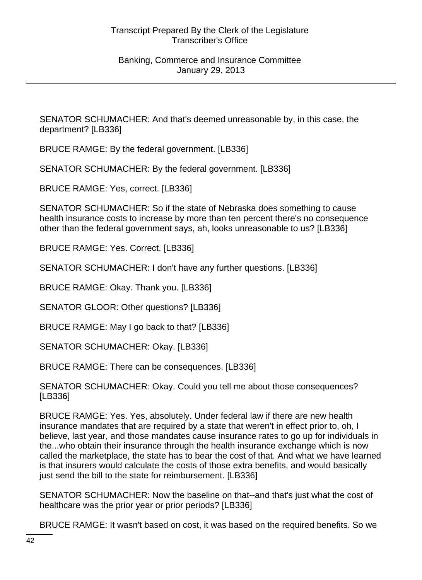SENATOR SCHUMACHER: And that's deemed unreasonable by, in this case, the department? [LB336]

BRUCE RAMGE: By the federal government. [LB336]

SENATOR SCHUMACHER: By the federal government. [LB336]

BRUCE RAMGE: Yes, correct. [LB336]

SENATOR SCHUMACHER: So if the state of Nebraska does something to cause health insurance costs to increase by more than ten percent there's no consequence other than the federal government says, ah, looks unreasonable to us? [LB336]

BRUCE RAMGE: Yes. Correct. [LB336]

SENATOR SCHUMACHER: I don't have any further questions. [LB336]

BRUCE RAMGE: Okay. Thank you. [LB336]

SENATOR GLOOR: Other questions? [LB336]

BRUCE RAMGE: May I go back to that? [LB336]

SENATOR SCHUMACHER: Okay. [LB336]

BRUCE RAMGE: There can be consequences. [LB336]

SENATOR SCHUMACHER: Okay. Could you tell me about those consequences? [LB336]

BRUCE RAMGE: Yes. Yes, absolutely. Under federal law if there are new health insurance mandates that are required by a state that weren't in effect prior to, oh, I believe, last year, and those mandates cause insurance rates to go up for individuals in the...who obtain their insurance through the health insurance exchange which is now called the marketplace, the state has to bear the cost of that. And what we have learned is that insurers would calculate the costs of those extra benefits, and would basically just send the bill to the state for reimbursement. [LB336]

SENATOR SCHUMACHER: Now the baseline on that--and that's just what the cost of healthcare was the prior year or prior periods? [LB336]

BRUCE RAMGE: It wasn't based on cost, it was based on the required benefits. So we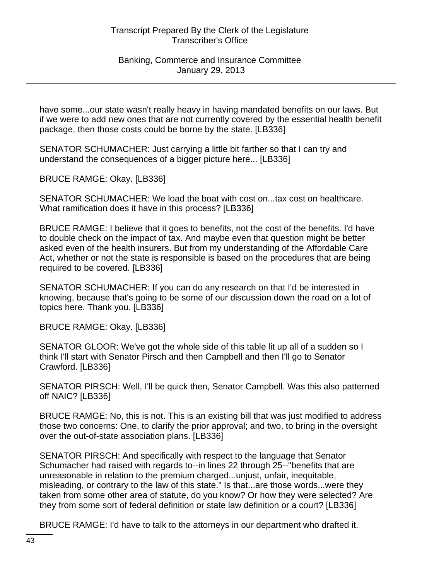Banking, Commerce and Insurance Committee January 29, 2013

have some...our state wasn't really heavy in having mandated benefits on our laws. But if we were to add new ones that are not currently covered by the essential health benefit package, then those costs could be borne by the state. [LB336]

SENATOR SCHUMACHER: Just carrying a little bit farther so that I can try and understand the consequences of a bigger picture here... [LB336]

BRUCE RAMGE: Okay. [LB336]

SENATOR SCHUMACHER: We load the boat with cost on...tax cost on healthcare. What ramification does it have in this process? [LB336]

BRUCE RAMGE: I believe that it goes to benefits, not the cost of the benefits. I'd have to double check on the impact of tax. And maybe even that question might be better asked even of the health insurers. But from my understanding of the Affordable Care Act, whether or not the state is responsible is based on the procedures that are being required to be covered. [LB336]

SENATOR SCHUMACHER: If you can do any research on that I'd be interested in knowing, because that's going to be some of our discussion down the road on a lot of topics here. Thank you. [LB336]

BRUCE RAMGE: Okay. [LB336]

SENATOR GLOOR: We've got the whole side of this table lit up all of a sudden so I think I'll start with Senator Pirsch and then Campbell and then I'll go to Senator Crawford. [LB336]

SENATOR PIRSCH: Well, I'll be quick then, Senator Campbell. Was this also patterned off NAIC? [LB336]

BRUCE RAMGE: No, this is not. This is an existing bill that was just modified to address those two concerns: One, to clarify the prior approval; and two, to bring in the oversight over the out-of-state association plans. [LB336]

SENATOR PIRSCH: And specifically with respect to the language that Senator Schumacher had raised with regards to--in lines 22 through 25--"benefits that are unreasonable in relation to the premium charged...unjust, unfair, inequitable, misleading, or contrary to the law of this state." Is that...are those words...were they taken from some other area of statute, do you know? Or how they were selected? Are they from some sort of federal definition or state law definition or a court? [LB336]

BRUCE RAMGE: I'd have to talk to the attorneys in our department who drafted it.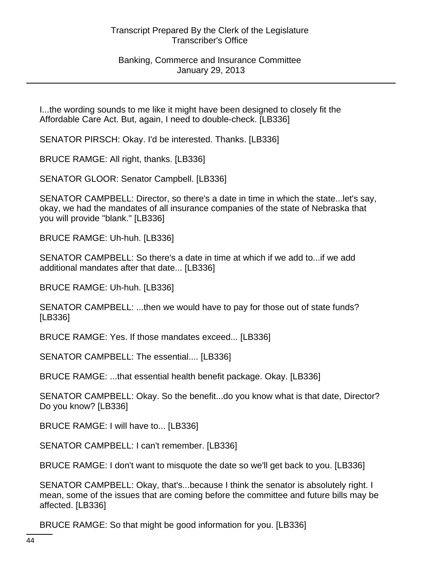Banking, Commerce and Insurance Committee January 29, 2013

I...the wording sounds to me like it might have been designed to closely fit the Affordable Care Act. But, again, I need to double-check. [LB336]

SENATOR PIRSCH: Okay. I'd be interested. Thanks. [LB336]

BRUCE RAMGE: All right, thanks. [LB336]

SENATOR GLOOR: Senator Campbell. [LB336]

SENATOR CAMPBELL: Director, so there's a date in time in which the state...let's say, okay, we had the mandates of all insurance companies of the state of Nebraska that you will provide "blank." [LB336]

BRUCE RAMGE: Uh-huh. [LB336]

SENATOR CAMPBELL: So there's a date in time at which if we add to...if we add additional mandates after that date... [LB336]

BRUCE RAMGE: Uh-huh. [LB336]

SENATOR CAMPBELL: ...then we would have to pay for those out of state funds? [LB336]

BRUCE RAMGE: Yes. If those mandates exceed... [LB336]

SENATOR CAMPBELL: The essential.... [LB336]

BRUCE RAMGE: ...that essential health benefit package. Okay. [LB336]

SENATOR CAMPBELL: Okay. So the benefit...do you know what is that date, Director? Do you know? [LB336]

BRUCE RAMGE: I will have to... [LB336]

SENATOR CAMPBELL: I can't remember. [LB336]

BRUCE RAMGE: I don't want to misquote the date so we'll get back to you. [LB336]

SENATOR CAMPBELL: Okay, that's...because I think the senator is absolutely right. I mean, some of the issues that are coming before the committee and future bills may be affected. [LB336]

BRUCE RAMGE: So that might be good information for you. [LB336]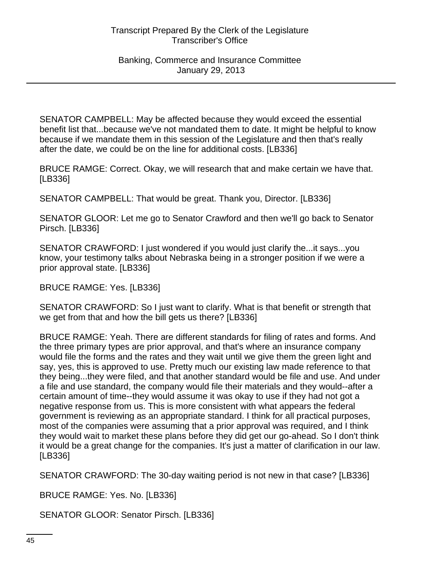SENATOR CAMPBELL: May be affected because they would exceed the essential benefit list that...because we've not mandated them to date. It might be helpful to know because if we mandate them in this session of the Legislature and then that's really after the date, we could be on the line for additional costs. [LB336]

BRUCE RAMGE: Correct. Okay, we will research that and make certain we have that. [LB336]

SENATOR CAMPBELL: That would be great. Thank you, Director. [LB336]

SENATOR GLOOR: Let me go to Senator Crawford and then we'll go back to Senator Pirsch. [LB336]

SENATOR CRAWFORD: I just wondered if you would just clarify the...it says...you know, your testimony talks about Nebraska being in a stronger position if we were a prior approval state. [LB336]

BRUCE RAMGE: Yes. [LB336]

SENATOR CRAWFORD: So I just want to clarify. What is that benefit or strength that we get from that and how the bill gets us there? [LB336]

BRUCE RAMGE: Yeah. There are different standards for filing of rates and forms. And the three primary types are prior approval, and that's where an insurance company would file the forms and the rates and they wait until we give them the green light and say, yes, this is approved to use. Pretty much our existing law made reference to that they being...they were filed, and that another standard would be file and use. And under a file and use standard, the company would file their materials and they would--after a certain amount of time--they would assume it was okay to use if they had not got a negative response from us. This is more consistent with what appears the federal government is reviewing as an appropriate standard. I think for all practical purposes, most of the companies were assuming that a prior approval was required, and I think they would wait to market these plans before they did get our go-ahead. So I don't think it would be a great change for the companies. It's just a matter of clarification in our law. [LB336]

SENATOR CRAWFORD: The 30-day waiting period is not new in that case? [LB336]

BRUCE RAMGE: Yes. No. [LB336]

SENATOR GLOOR: Senator Pirsch. [LB336]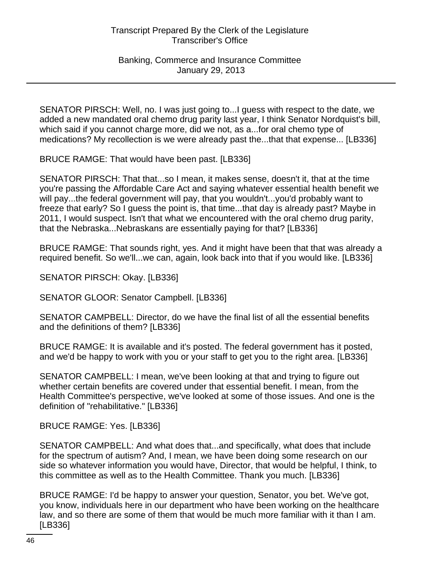SENATOR PIRSCH: Well, no. I was just going to...I guess with respect to the date, we added a new mandated oral chemo drug parity last year, I think Senator Nordquist's bill, which said if you cannot charge more, did we not, as a...for oral chemo type of medications? My recollection is we were already past the...that that expense... [LB336]

BRUCE RAMGE: That would have been past. [LB336]

SENATOR PIRSCH: That that...so I mean, it makes sense, doesn't it, that at the time you're passing the Affordable Care Act and saying whatever essential health benefit we will pay...the federal government will pay, that you wouldn't...you'd probably want to freeze that early? So I guess the point is, that time...that day is already past? Maybe in 2011, I would suspect. Isn't that what we encountered with the oral chemo drug parity, that the Nebraska...Nebraskans are essentially paying for that? [LB336]

BRUCE RAMGE: That sounds right, yes. And it might have been that that was already a required benefit. So we'll...we can, again, look back into that if you would like. [LB336]

SENATOR PIRSCH: Okay. [LB336]

SENATOR GLOOR: Senator Campbell. [LB336]

SENATOR CAMPBELL: Director, do we have the final list of all the essential benefits and the definitions of them? [LB336]

BRUCE RAMGE: It is available and it's posted. The federal government has it posted, and we'd be happy to work with you or your staff to get you to the right area. [LB336]

SENATOR CAMPBELL: I mean, we've been looking at that and trying to figure out whether certain benefits are covered under that essential benefit. I mean, from the Health Committee's perspective, we've looked at some of those issues. And one is the definition of "rehabilitative." [LB336]

BRUCE RAMGE: Yes. [LB336]

SENATOR CAMPBELL: And what does that...and specifically, what does that include for the spectrum of autism? And, I mean, we have been doing some research on our side so whatever information you would have, Director, that would be helpful, I think, to this committee as well as to the Health Committee. Thank you much. [LB336]

BRUCE RAMGE: I'd be happy to answer your question, Senator, you bet. We've got, you know, individuals here in our department who have been working on the healthcare law, and so there are some of them that would be much more familiar with it than I am. [LB336]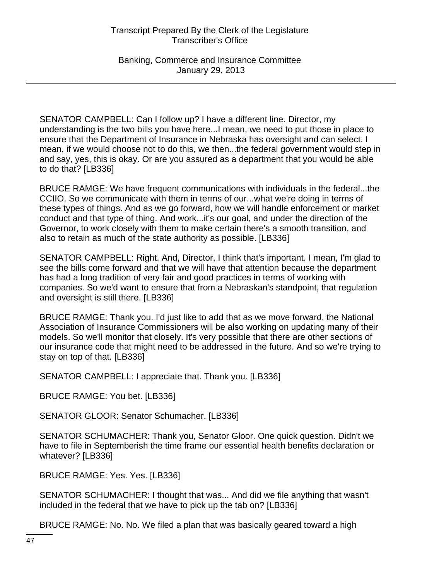Banking, Commerce and Insurance Committee January 29, 2013

SENATOR CAMPBELL: Can I follow up? I have a different line. Director, my understanding is the two bills you have here...I mean, we need to put those in place to ensure that the Department of Insurance in Nebraska has oversight and can select. I mean, if we would choose not to do this, we then...the federal government would step in and say, yes, this is okay. Or are you assured as a department that you would be able to do that? [LB336]

BRUCE RAMGE: We have frequent communications with individuals in the federal...the CCIIO. So we communicate with them in terms of our...what we're doing in terms of these types of things. And as we go forward, how we will handle enforcement or market conduct and that type of thing. And work...it's our goal, and under the direction of the Governor, to work closely with them to make certain there's a smooth transition, and also to retain as much of the state authority as possible. [LB336]

SENATOR CAMPBELL: Right. And, Director, I think that's important. I mean, I'm glad to see the bills come forward and that we will have that attention because the department has had a long tradition of very fair and good practices in terms of working with companies. So we'd want to ensure that from a Nebraskan's standpoint, that regulation and oversight is still there. [LB336]

BRUCE RAMGE: Thank you. I'd just like to add that as we move forward, the National Association of Insurance Commissioners will be also working on updating many of their models. So we'll monitor that closely. It's very possible that there are other sections of our insurance code that might need to be addressed in the future. And so we're trying to stay on top of that. [LB336]

SENATOR CAMPBELL: I appreciate that. Thank you. [LB336]

BRUCE RAMGE: You bet. [LB336]

SENATOR GLOOR: Senator Schumacher. [LB336]

SENATOR SCHUMACHER: Thank you, Senator Gloor. One quick question. Didn't we have to file in Septemberish the time frame our essential health benefits declaration or whatever? [LB336]

BRUCE RAMGE: Yes. Yes. [LB336]

SENATOR SCHUMACHER: I thought that was... And did we file anything that wasn't included in the federal that we have to pick up the tab on? [LB336]

BRUCE RAMGE: No. No. We filed a plan that was basically geared toward a high